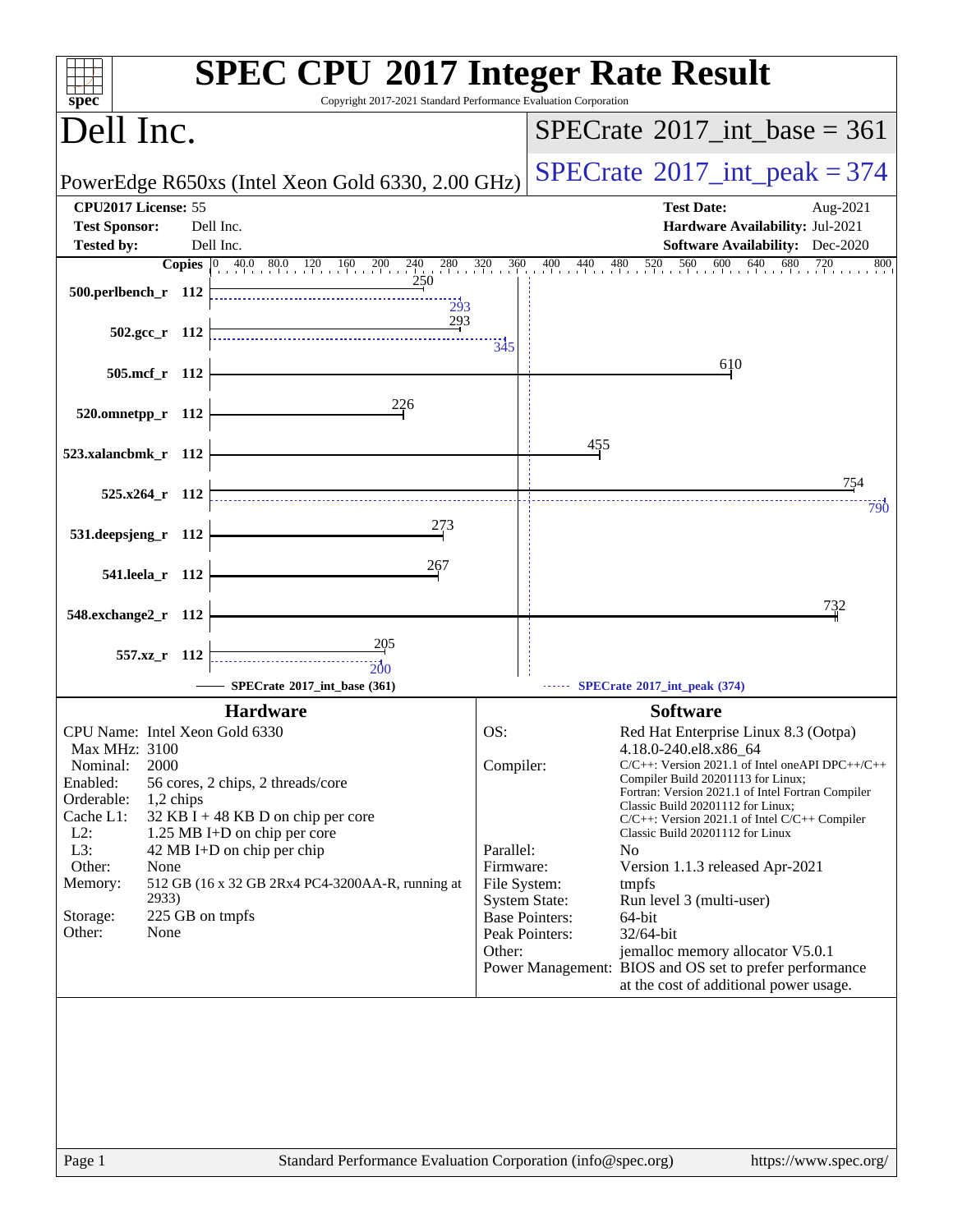| Copyright 2017-2021 Standard Performance Evaluation Corporation<br>$sp\overline{ec}$                                                                                                                         | <b>SPEC CPU®2017 Integer Rate Result</b>                                                                                                                                                                                                                                                                            |
|--------------------------------------------------------------------------------------------------------------------------------------------------------------------------------------------------------------|---------------------------------------------------------------------------------------------------------------------------------------------------------------------------------------------------------------------------------------------------------------------------------------------------------------------|
| Dell Inc.                                                                                                                                                                                                    | $SPECTate@2017(int \text{base} = 361$                                                                                                                                                                                                                                                                               |
| PowerEdge R650xs (Intel Xeon Gold 6330, 2.00 GHz)                                                                                                                                                            | $SPECrate^{\circ}2017\_int\_peak = 374$                                                                                                                                                                                                                                                                             |
| CPU2017 License: 55                                                                                                                                                                                          | <b>Test Date:</b><br>Aug-2021                                                                                                                                                                                                                                                                                       |
| Dell Inc.<br><b>Test Sponsor:</b><br>Dell Inc.<br><b>Tested by:</b>                                                                                                                                          | Hardware Availability: Jul-2021<br><b>Software Availability:</b> Dec-2020                                                                                                                                                                                                                                           |
| <b>Copies</b> 0 40.0 80.0 120 160 200 240 280                                                                                                                                                                | 320<br>360<br>$\frac{0}{1}$ 440 480 520 560 600 640<br>680<br>400<br>720<br>800                                                                                                                                                                                                                                     |
| 250<br>500.perlbench_r 112<br>293                                                                                                                                                                            |                                                                                                                                                                                                                                                                                                                     |
| 293<br>502.gcc_r 112                                                                                                                                                                                         | 345                                                                                                                                                                                                                                                                                                                 |
| 505.mcf_r 112                                                                                                                                                                                                | 610                                                                                                                                                                                                                                                                                                                 |
| 226<br>520.omnetpp_r 112                                                                                                                                                                                     |                                                                                                                                                                                                                                                                                                                     |
| 523.xalancbmk_r 112                                                                                                                                                                                          | 455                                                                                                                                                                                                                                                                                                                 |
| $525.x264$ r 112                                                                                                                                                                                             | 754<br>790                                                                                                                                                                                                                                                                                                          |
| 273<br>531.deepsjeng_r 112                                                                                                                                                                                   |                                                                                                                                                                                                                                                                                                                     |
| 267<br>541.leela_r 112                                                                                                                                                                                       |                                                                                                                                                                                                                                                                                                                     |
| 548.exchange2_r 112                                                                                                                                                                                          | 732                                                                                                                                                                                                                                                                                                                 |
| 205<br>557.xz r 112<br>200                                                                                                                                                                                   |                                                                                                                                                                                                                                                                                                                     |
| SPECrate®2017_int_base (361)                                                                                                                                                                                 | SPECrate*2017_int_peak (374)                                                                                                                                                                                                                                                                                        |
| <b>Hardware</b>                                                                                                                                                                                              | <b>Software</b>                                                                                                                                                                                                                                                                                                     |
| CPU Name: Intel Xeon Gold 6330                                                                                                                                                                               | OS:<br>Red Hat Enterprise Linux 8.3 (Ootpa)                                                                                                                                                                                                                                                                         |
| Max MHz: 3100<br>2000<br>Nominal:<br>Enabled:<br>56 cores, 2 chips, 2 threads/core<br>Orderable:<br>1,2 chips<br>Cache L1:<br>$32$ KB I + 48 KB D on chip per core<br>$L2$ :<br>1.25 MB I+D on chip per core | 4.18.0-240.el8.x86_64<br>Compiler:<br>$C/C++$ : Version 2021.1 of Intel one API DPC++/C++<br>Compiler Build 20201113 for Linux;<br>Fortran: Version 2021.1 of Intel Fortran Compiler<br>Classic Build 20201112 for Linux;<br>$C/C++$ : Version 2021.1 of Intel $C/C++$ Compiler<br>Classic Build 20201112 for Linux |
| L3:<br>42 MB I+D on chip per chip<br>Other:<br>None<br>512 GB (16 x 32 GB 2Rx4 PC4-3200AA-R, running at<br>Memory:                                                                                           | Parallel:<br>N <sub>0</sub><br>Firmware:<br>Version 1.1.3 released Apr-2021<br>File System:<br>tmpfs                                                                                                                                                                                                                |
| 2933)<br>225 GB on tmpfs<br>Storage:<br>Other:<br>None                                                                                                                                                       | <b>System State:</b><br>Run level 3 (multi-user)<br><b>Base Pointers:</b><br>64-bit<br>Peak Pointers:<br>32/64-bit<br>Other:<br>jemalloc memory allocator V5.0.1                                                                                                                                                    |
|                                                                                                                                                                                                              | Power Management: BIOS and OS set to prefer performance<br>at the cost of additional power usage.                                                                                                                                                                                                                   |
|                                                                                                                                                                                                              |                                                                                                                                                                                                                                                                                                                     |
|                                                                                                                                                                                                              |                                                                                                                                                                                                                                                                                                                     |
|                                                                                                                                                                                                              |                                                                                                                                                                                                                                                                                                                     |
| Page 1                                                                                                                                                                                                       | Standard Performance Evaluation Corporation (info@spec.org)<br>https://www.spec.org/                                                                                                                                                                                                                                |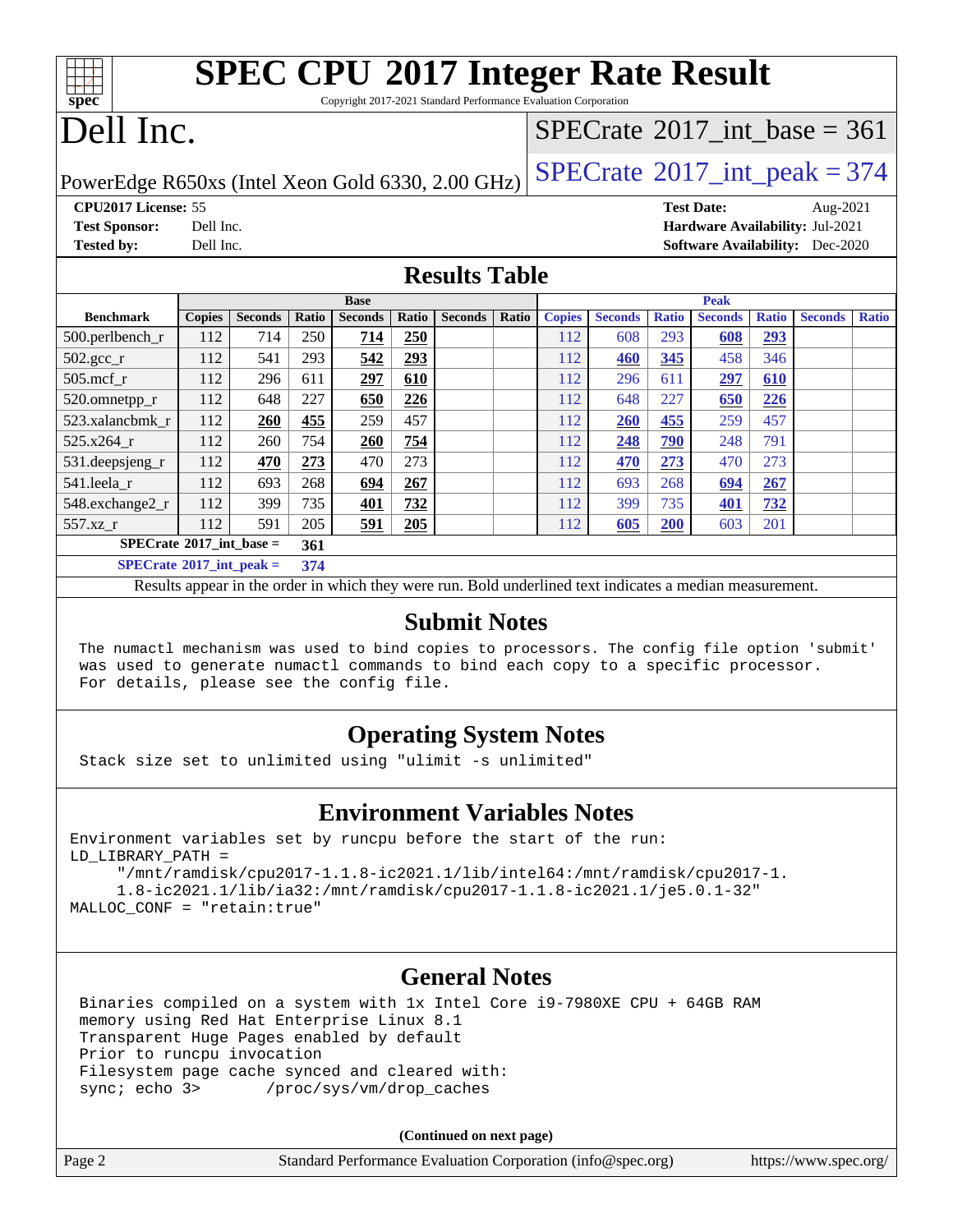| <b>SPEC CPU®2017 Integer Rate Result</b>                        |  |
|-----------------------------------------------------------------|--|
| Convright 2017-2021 Standard Performance Evaluation Cornoration |  |

Copyright 2017-2021 Standard Performance Evaluation Corporation

# Dell Inc.

**[spec](http://www.spec.org/)**

## $SPECTate$ <sup>®</sup>[2017\\_int\\_base =](http://www.spec.org/auto/cpu2017/Docs/result-fields.html#SPECrate2017intbase) 361

PowerEdge R650xs (Intel Xeon Gold 6330, 2.00 GHz)  $\left|$  [SPECrate](http://www.spec.org/auto/cpu2017/Docs/result-fields.html#SPECrate2017intpeak)<sup>®</sup>[2017\\_int\\_peak = 3](http://www.spec.org/auto/cpu2017/Docs/result-fields.html#SPECrate2017intpeak)74

**[CPU2017 License:](http://www.spec.org/auto/cpu2017/Docs/result-fields.html#CPU2017License)** 55 **[Test Date:](http://www.spec.org/auto/cpu2017/Docs/result-fields.html#TestDate)** Aug-2021 **[Test Sponsor:](http://www.spec.org/auto/cpu2017/Docs/result-fields.html#TestSponsor)** Dell Inc. **[Hardware Availability:](http://www.spec.org/auto/cpu2017/Docs/result-fields.html#HardwareAvailability)** Jul-2021 **[Tested by:](http://www.spec.org/auto/cpu2017/Docs/result-fields.html#Testedby)** Dell Inc. **[Software Availability:](http://www.spec.org/auto/cpu2017/Docs/result-fields.html#SoftwareAvailability)** Dec-2020

### **[Results Table](http://www.spec.org/auto/cpu2017/Docs/result-fields.html#ResultsTable)**

|                                         | <b>Base</b>   |                |       |                |       | <b>Peak</b>    |       |               |                |              |                |              |                |              |
|-----------------------------------------|---------------|----------------|-------|----------------|-------|----------------|-------|---------------|----------------|--------------|----------------|--------------|----------------|--------------|
| <b>Benchmark</b>                        | <b>Copies</b> | <b>Seconds</b> | Ratio | <b>Seconds</b> | Ratio | <b>Seconds</b> | Ratio | <b>Copies</b> | <b>Seconds</b> | <b>Ratio</b> | <b>Seconds</b> | <b>Ratio</b> | <b>Seconds</b> | <b>Ratio</b> |
| 500.perlbench_r                         | 112           | 714            | 250   | 714            | 250   |                |       | 112           | 608            | 293          | 608            | <u>293</u>   |                |              |
| $502.\text{gcc}$ _r                     | 112           | 541            | 293   | 542            | 293   |                |       | 112           | 460            | 345          | 458            | 346          |                |              |
| $505$ .mcf r                            | 112           | 296            | 611   | 297            | 610   |                |       | 112           | 296            | 611          | 297            | 610          |                |              |
| 520.omnetpp_r                           | 112           | 648            | 227   | 650            | 226   |                |       | 112           | 648            | 227          | 650            | 226          |                |              |
| 523.xalancbmk r                         | 112           | 260            | 455   | 259            | 457   |                |       | 112           | 260            | 455          | 259            | 457          |                |              |
| 525.x264 r                              | 112           | 260            | 754   | 260            | 754   |                |       | 112           | 248            | 790          | 248            | 791          |                |              |
| 531.deepsjeng_r                         | 112           | 470            | 273   | 470            | 273   |                |       | 112           | 470            | 273          | 470            | 273          |                |              |
| 541.leela_r                             | 112           | 693            | 268   | 694            | 267   |                |       | 112           | 693            | 268          | 694            | 267          |                |              |
| 548.exchange2_r                         | 112           | 399            | 735   | 401            | 732   |                |       | 112           | 399            | 735          | 401            | 732          |                |              |
| 557.xz r                                | 112           | 591            | 205   | 591            | 205   |                |       | 112           | 605            | 200          | 603            | 201          |                |              |
| $SPECrate^{\circ}2017$ int base =       |               |                | 361   |                |       |                |       |               |                |              |                |              |                |              |
| $SPECTate$ <sup>®</sup> 2017_int_peak = |               |                | 374   |                |       |                |       |               |                |              |                |              |                |              |

Results appear in the [order in which they were run](http://www.spec.org/auto/cpu2017/Docs/result-fields.html#RunOrder). Bold underlined text [indicates a median measurement](http://www.spec.org/auto/cpu2017/Docs/result-fields.html#Median).

#### **[Submit Notes](http://www.spec.org/auto/cpu2017/Docs/result-fields.html#SubmitNotes)**

 The numactl mechanism was used to bind copies to processors. The config file option 'submit' was used to generate numactl commands to bind each copy to a specific processor. For details, please see the config file.

## **[Operating System Notes](http://www.spec.org/auto/cpu2017/Docs/result-fields.html#OperatingSystemNotes)**

Stack size set to unlimited using "ulimit -s unlimited"

#### **[Environment Variables Notes](http://www.spec.org/auto/cpu2017/Docs/result-fields.html#EnvironmentVariablesNotes)**

Environment variables set by runcpu before the start of the run: LD\_LIBRARY\_PATH =

 "/mnt/ramdisk/cpu2017-1.1.8-ic2021.1/lib/intel64:/mnt/ramdisk/cpu2017-1. 1.8-ic2021.1/lib/ia32:/mnt/ramdisk/cpu2017-1.1.8-ic2021.1/je5.0.1-32" MALLOC\_CONF = "retain:true"

#### **[General Notes](http://www.spec.org/auto/cpu2017/Docs/result-fields.html#GeneralNotes)**

 Binaries compiled on a system with 1x Intel Core i9-7980XE CPU + 64GB RAM memory using Red Hat Enterprise Linux 8.1 Transparent Huge Pages enabled by default Prior to runcpu invocation Filesystem page cache synced and cleared with: sync; echo 3> /proc/sys/vm/drop\_caches

**(Continued on next page)**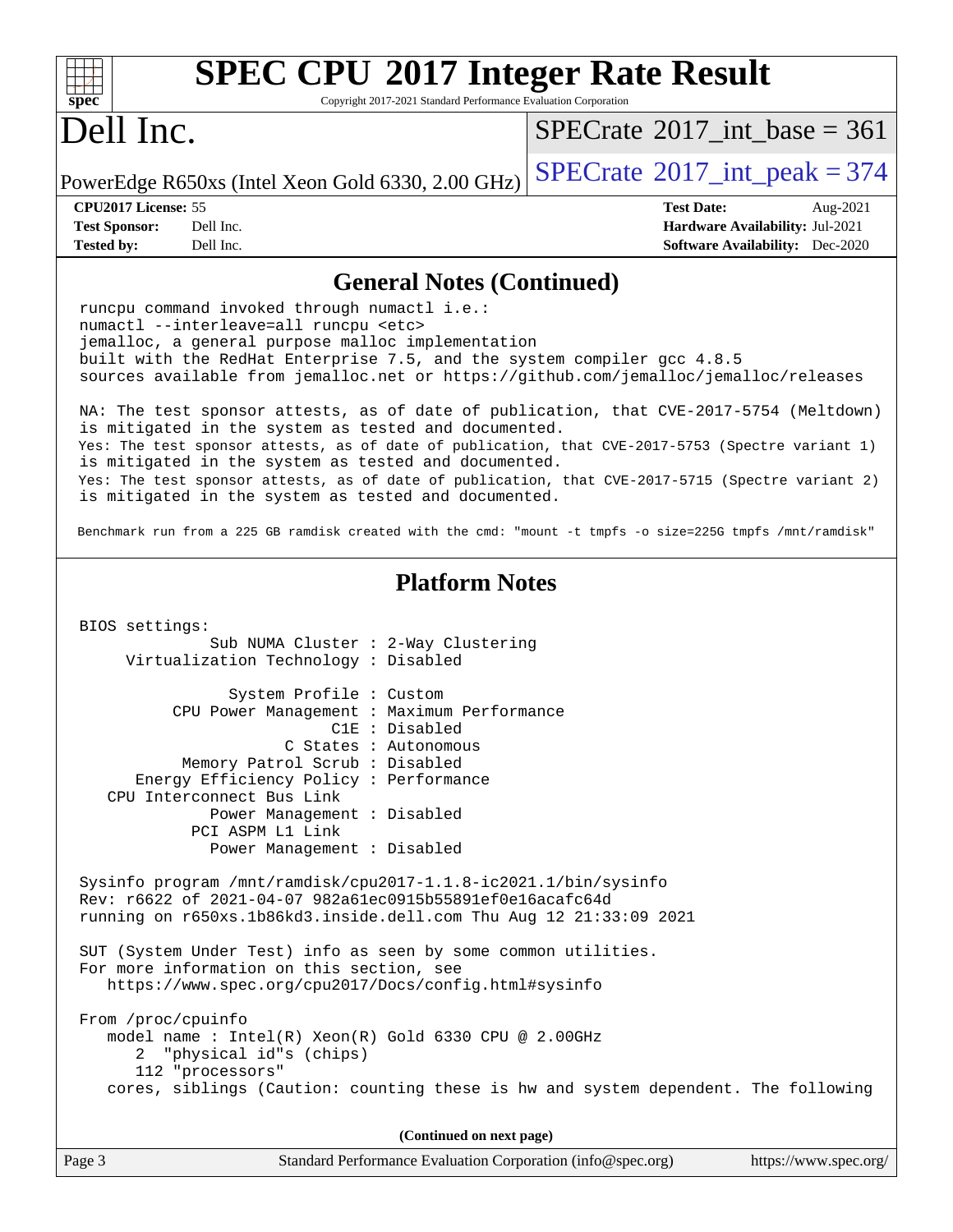| <b>SPEC CPU®2017 Integer Rate Result</b><br>spec<br>Copyright 2017-2021 Standard Performance Evaluation Corporation                                                                                                                                                                                                    |                                             |  |  |  |  |
|------------------------------------------------------------------------------------------------------------------------------------------------------------------------------------------------------------------------------------------------------------------------------------------------------------------------|---------------------------------------------|--|--|--|--|
| Dell Inc.                                                                                                                                                                                                                                                                                                              | $SPECTate$ <sup>®</sup> 2017 int base = 361 |  |  |  |  |
| PowerEdge R650xs (Intel Xeon Gold 6330, 2.00 GHz)                                                                                                                                                                                                                                                                      | $SPECrate^{\circ}2017\_int\_peak = 374$     |  |  |  |  |
| CPU2017 License: 55                                                                                                                                                                                                                                                                                                    | <b>Test Date:</b><br>Aug-2021               |  |  |  |  |
| <b>Test Sponsor:</b><br>Dell Inc.                                                                                                                                                                                                                                                                                      | Hardware Availability: Jul-2021             |  |  |  |  |
| <b>Tested by:</b><br>Dell Inc.                                                                                                                                                                                                                                                                                         | <b>Software Availability:</b> Dec-2020      |  |  |  |  |
| <b>General Notes (Continued)</b>                                                                                                                                                                                                                                                                                       |                                             |  |  |  |  |
| runcpu command invoked through numactl i.e.:<br>numactl --interleave=all runcpu <etc><br/>jemalloc, a general purpose malloc implementation<br/>built with the RedHat Enterprise 7.5, and the system compiler gcc 4.8.5<br/>sources available from jemalloc.net or https://github.com/jemalloc/jemalloc/releases</etc> |                                             |  |  |  |  |
| NA: The test sponsor attests, as of date of publication, that CVE-2017-5754 (Meltdown)<br>is mitigated in the system as tested and documented.<br>Yes: The test sponsor attests, as of date of publication, that CVE-2017-5753 (Spectre variant 1)<br>is mitigated in the system as tested and documented.             |                                             |  |  |  |  |
| Yes: The test sponsor attests, as of date of publication, that CVE-2017-5715 (Spectre variant 2)<br>is mitigated in the system as tested and documented.                                                                                                                                                               |                                             |  |  |  |  |
| Benchmark run from a 225 GB ramdisk created with the cmd: "mount -t tmpfs -o size=225G tmpfs /mnt/ramdisk"                                                                                                                                                                                                             |                                             |  |  |  |  |
| <b>Platform Notes</b><br>BIOS settings:                                                                                                                                                                                                                                                                                |                                             |  |  |  |  |
| Sub NUMA Cluster : 2-Way Clustering<br>Virtualization Technology : Disabled                                                                                                                                                                                                                                            |                                             |  |  |  |  |
| System Profile : Custom<br>CPU Power Management : Maximum Performance<br>$C1E$ : Disabled<br>C States : Autonomous                                                                                                                                                                                                     |                                             |  |  |  |  |
| Memory Patrol Scrub : Disabled<br>Energy Efficiency Policy : Performance<br>CPU Interconnect Bus Link                                                                                                                                                                                                                  |                                             |  |  |  |  |
| Power Management : Disabled<br>PCI ASPM L1 Link<br>Power Management : Disabled                                                                                                                                                                                                                                         |                                             |  |  |  |  |
| Sysinfo program /mnt/ramdisk/cpu2017-1.1.8-ic2021.1/bin/sysinfo<br>Rev: r6622 of 2021-04-07 982a61ec0915b55891ef0e16acafc64d<br>running on r650xs.1b86kd3.inside.dell.com Thu Aug 12 21:33:09 2021                                                                                                                     |                                             |  |  |  |  |
| SUT (System Under Test) info as seen by some common utilities.<br>For more information on this section, see<br>https://www.spec.org/cpu2017/Docs/config.html#sysinfo                                                                                                                                                   |                                             |  |  |  |  |
| From /proc/cpuinfo<br>model name : Intel(R) Xeon(R) Gold 6330 CPU @ 2.00GHz<br>2 "physical id"s (chips)<br>112 "processors"                                                                                                                                                                                            |                                             |  |  |  |  |
| cores, siblings (Caution: counting these is hw and system dependent. The following                                                                                                                                                                                                                                     |                                             |  |  |  |  |
| (Continued on next page)                                                                                                                                                                                                                                                                                               |                                             |  |  |  |  |
| Page 3<br>Standard Performance Evaluation Corporation (info@spec.org)                                                                                                                                                                                                                                                  | https://www.spec.org/                       |  |  |  |  |
|                                                                                                                                                                                                                                                                                                                        |                                             |  |  |  |  |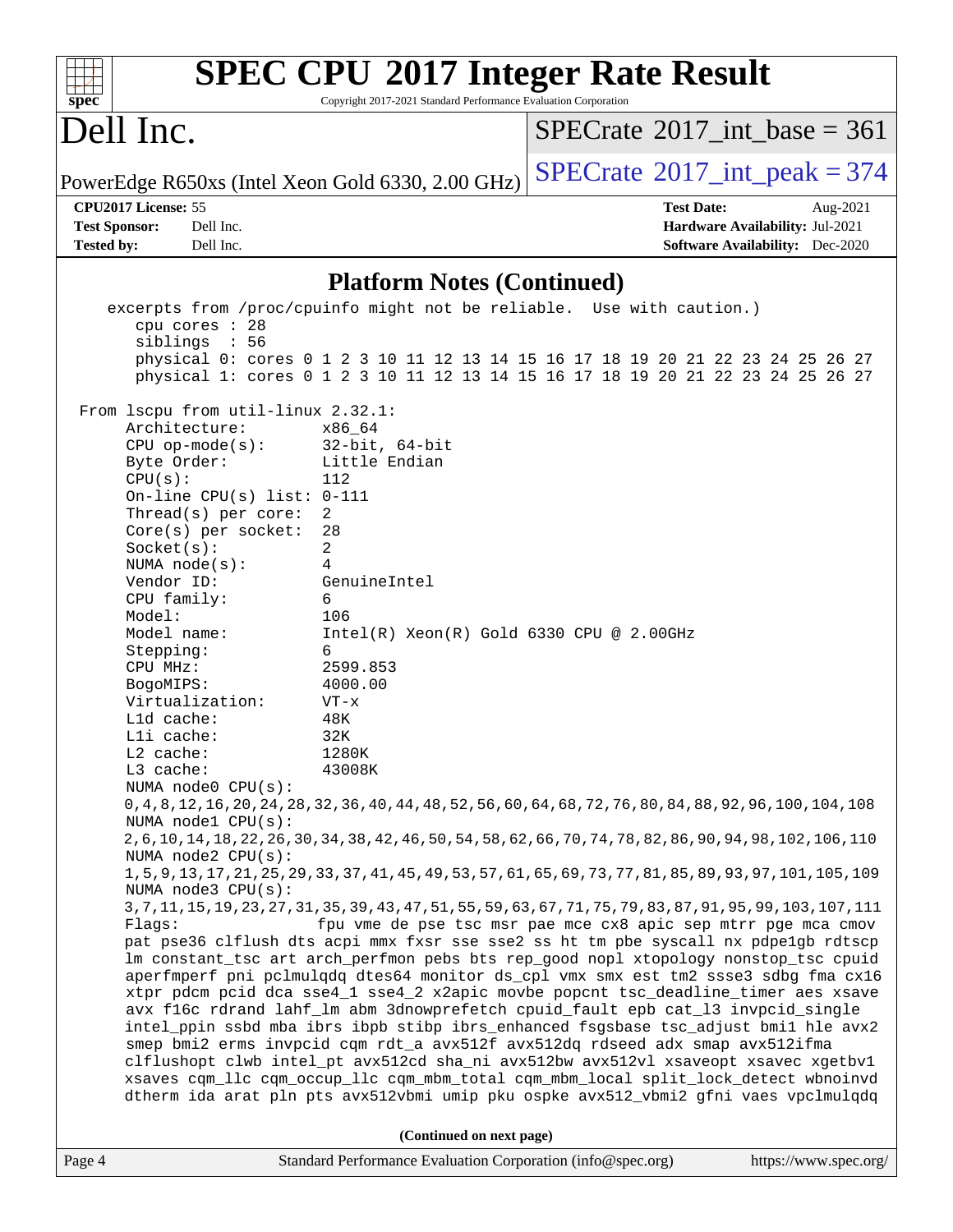| <b>SPEC CPU®2017 Integer Rate Result</b><br>Copyright 2017-2021 Standard Performance Evaluation Corporation<br>$Spec^*$                                                                                                                                                                                                                                                                                                                                                                                                                                                                                                                                                                                                                                                                                                                                                                                                                                                                                                                                                                                                                                                                                                                                                                                                                                                                                                                                                                                                                                                                                                                                                                                                                                                                                                                                                                                                                                                                                                                                                                                                     |                                                                                                            |
|-----------------------------------------------------------------------------------------------------------------------------------------------------------------------------------------------------------------------------------------------------------------------------------------------------------------------------------------------------------------------------------------------------------------------------------------------------------------------------------------------------------------------------------------------------------------------------------------------------------------------------------------------------------------------------------------------------------------------------------------------------------------------------------------------------------------------------------------------------------------------------------------------------------------------------------------------------------------------------------------------------------------------------------------------------------------------------------------------------------------------------------------------------------------------------------------------------------------------------------------------------------------------------------------------------------------------------------------------------------------------------------------------------------------------------------------------------------------------------------------------------------------------------------------------------------------------------------------------------------------------------------------------------------------------------------------------------------------------------------------------------------------------------------------------------------------------------------------------------------------------------------------------------------------------------------------------------------------------------------------------------------------------------------------------------------------------------------------------------------------------------|------------------------------------------------------------------------------------------------------------|
| Dell Inc.                                                                                                                                                                                                                                                                                                                                                                                                                                                                                                                                                                                                                                                                                                                                                                                                                                                                                                                                                                                                                                                                                                                                                                                                                                                                                                                                                                                                                                                                                                                                                                                                                                                                                                                                                                                                                                                                                                                                                                                                                                                                                                                   | $SPECTate$ <sup>®</sup> 2017_int_base = 361                                                                |
| PowerEdge R650xs (Intel Xeon Gold 6330, 2.00 GHz)                                                                                                                                                                                                                                                                                                                                                                                                                                                                                                                                                                                                                                                                                                                                                                                                                                                                                                                                                                                                                                                                                                                                                                                                                                                                                                                                                                                                                                                                                                                                                                                                                                                                                                                                                                                                                                                                                                                                                                                                                                                                           | $SPECrate$ <sup>®</sup> 2017_int_peak = 374                                                                |
| CPU2017 License: 55<br><b>Test Sponsor:</b><br>Dell Inc.<br><b>Tested by:</b><br>Dell Inc.                                                                                                                                                                                                                                                                                                                                                                                                                                                                                                                                                                                                                                                                                                                                                                                                                                                                                                                                                                                                                                                                                                                                                                                                                                                                                                                                                                                                                                                                                                                                                                                                                                                                                                                                                                                                                                                                                                                                                                                                                                  | <b>Test Date:</b><br>Aug-2021<br>Hardware Availability: Jul-2021<br><b>Software Availability:</b> Dec-2020 |
| <b>Platform Notes (Continued)</b>                                                                                                                                                                                                                                                                                                                                                                                                                                                                                                                                                                                                                                                                                                                                                                                                                                                                                                                                                                                                                                                                                                                                                                                                                                                                                                                                                                                                                                                                                                                                                                                                                                                                                                                                                                                                                                                                                                                                                                                                                                                                                           |                                                                                                            |
| excerpts from /proc/cpuinfo might not be reliable. Use with caution.)                                                                                                                                                                                                                                                                                                                                                                                                                                                                                                                                                                                                                                                                                                                                                                                                                                                                                                                                                                                                                                                                                                                                                                                                                                                                                                                                                                                                                                                                                                                                                                                                                                                                                                                                                                                                                                                                                                                                                                                                                                                       |                                                                                                            |
| cpu cores : 28<br>siblings : 56<br>physical 0: cores 0 1 2 3 10 11 12 13 14 15 16 17 18 19 20 21 22 23 24 25 26 27<br>physical 1: cores 0 1 2 3 10 11 12 13 14 15 16 17 18 19 20 21 22 23 24 25 26 27                                                                                                                                                                                                                                                                                                                                                                                                                                                                                                                                                                                                                                                                                                                                                                                                                                                                                                                                                                                                                                                                                                                                                                                                                                                                                                                                                                                                                                                                                                                                                                                                                                                                                                                                                                                                                                                                                                                       |                                                                                                            |
| From 1scpu from util-linux 2.32.1:<br>Architecture:<br>x86 64<br>$CPU$ op-mode( $s$ ):<br>$32$ -bit, $64$ -bit<br>Little Endian<br>Byte Order:<br>CPU(s):<br>112<br>On-line CPU(s) list: $0-111$<br>Thread(s) per core:<br>2<br>Core(s) per socket:<br>28<br>2<br>Socket(s):<br>NUMA $node(s):$<br>4<br>Vendor ID:<br>GenuineIntel<br>CPU family:<br>6<br>Model:<br>106<br>Model name:<br>$Intel(R) Xeon(R) Gold 6330 CPU @ 2.00GHz$<br>Stepping:<br>6<br>CPU MHz:<br>2599.853<br>4000.00<br>BogoMIPS:<br>Virtualization:<br>$VT - x$<br>L1d cache:<br>48K<br>Lli cache:<br>32K<br>L2 cache:<br>1280K<br>43008K<br>L3 cache:<br>NUMA node0 CPU(s):<br>0, 4, 8, 12, 16, 20, 24, 28, 32, 36, 40, 44, 48, 52, 56, 60, 64, 68, 72, 76, 80, 84, 88, 92, 96, 100, 104, 108<br>NUMA nodel CPU(s):<br>2, 6, 10, 14, 18, 22, 26, 30, 34, 38, 42, 46, 50, 54, 58, 62, 66, 70, 74, 78, 82, 86, 90, 94, 98, 102, 106, 110<br>NUMA node2 CPU(s):<br>1, 5, 9, 13, 17, 21, 25, 29, 33, 37, 41, 45, 49, 53, 57, 61, 65, 69, 73, 77, 81, 85, 89, 93, 97, 101, 105, 109<br>NUMA node3 CPU(s):<br>3, 7, 11, 15, 19, 23, 27, 31, 35, 39, 43, 47, 51, 55, 59, 63, 67, 71, 75, 79, 83, 87, 91, 95, 99, 103, 107, 111<br>Flags:<br>pat pse36 clflush dts acpi mmx fxsr sse sse2 ss ht tm pbe syscall nx pdpelgb rdtscp<br>lm constant_tsc art arch_perfmon pebs bts rep_good nopl xtopology nonstop_tsc cpuid<br>aperfmperf pni pclmulqdq dtes64 monitor ds_cpl vmx smx est tm2 ssse3 sdbg fma cx16<br>xtpr pdcm pcid dca sse4_1 sse4_2 x2apic movbe popcnt tsc_deadline_timer aes xsave<br>avx f16c rdrand lahf_lm abm 3dnowprefetch cpuid_fault epb cat_13 invpcid_single<br>intel_ppin ssbd mba ibrs ibpb stibp ibrs_enhanced fsgsbase tsc_adjust bmil hle avx2<br>smep bmi2 erms invpcid cqm rdt_a avx512f avx512dq rdseed adx smap avx512ifma<br>clflushopt clwb intel_pt avx512cd sha_ni avx512bw avx512vl xsaveopt xsavec xgetbvl<br>xsaves cqm_llc cqm_occup_llc cqm_mbm_total cqm_mbm_local split_lock_detect wbnoinvd<br>dtherm ida arat pln pts avx512vbmi umip pku ospke avx512_vbmi2 gfni vaes vpclmulqdq<br>(Continued on next page) | fpu vme de pse tsc msr pae mce cx8 apic sep mtrr pge mca cmov                                              |
| Standard Performance Evaluation Corporation (info@spec.org)<br>Page 4                                                                                                                                                                                                                                                                                                                                                                                                                                                                                                                                                                                                                                                                                                                                                                                                                                                                                                                                                                                                                                                                                                                                                                                                                                                                                                                                                                                                                                                                                                                                                                                                                                                                                                                                                                                                                                                                                                                                                                                                                                                       | https://www.spec.org/                                                                                      |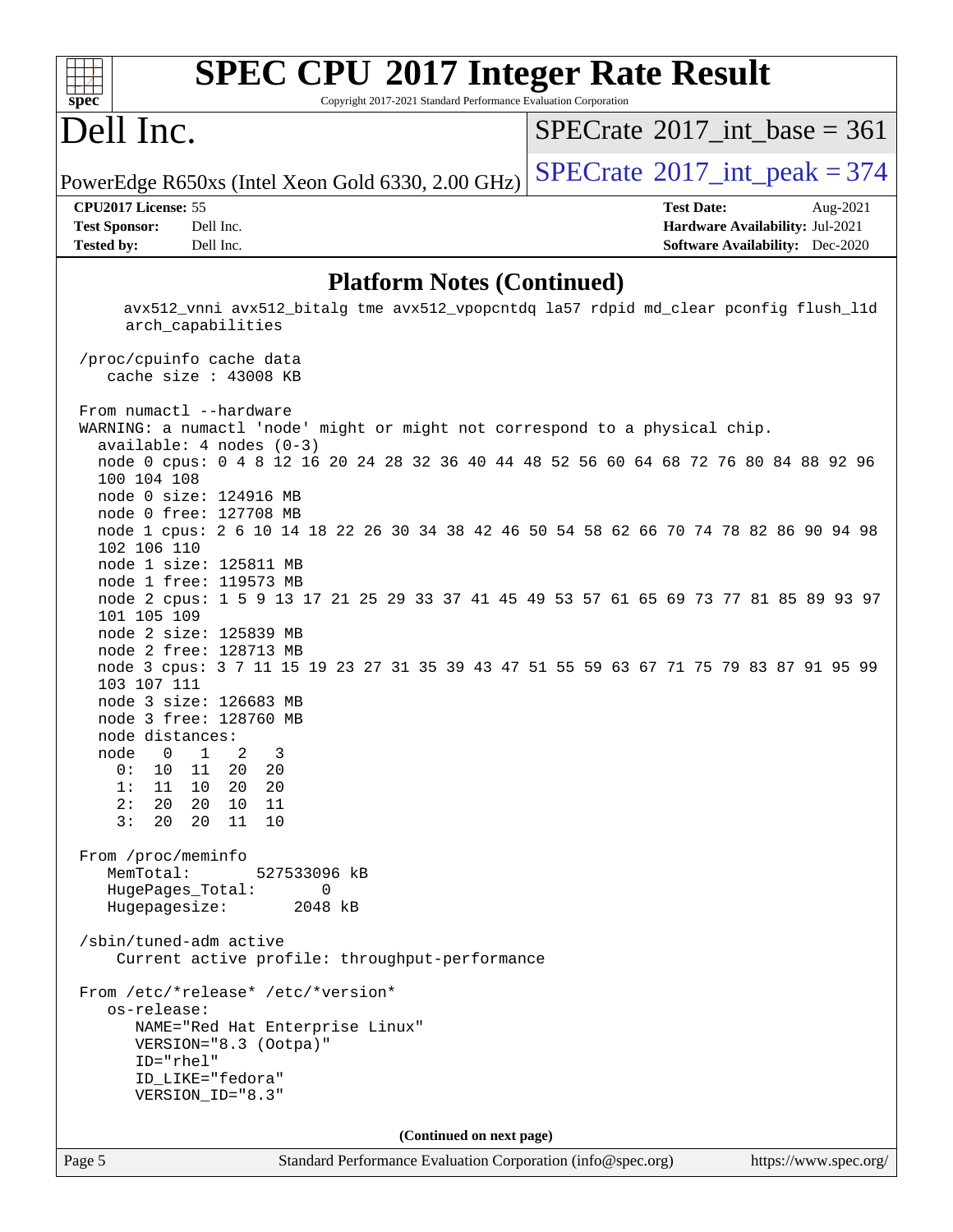#### **[SPEC CPU](http://www.spec.org/auto/cpu2017/Docs/result-fields.html#SPECCPU2017IntegerRateResult)[2017 Integer Rate Result](http://www.spec.org/auto/cpu2017/Docs/result-fields.html#SPECCPU2017IntegerRateResult)**  $+\ +$ **[spec](http://www.spec.org/)** Copyright 2017-2021 Standard Performance Evaluation Corporation Dell Inc.  $SPECTate$ <sup>®</sup>[2017\\_int\\_base =](http://www.spec.org/auto/cpu2017/Docs/result-fields.html#SPECrate2017intbase) 361 PowerEdge R650xs (Intel Xeon Gold 6330, 2.00 GHz)  $\left|$  [SPECrate](http://www.spec.org/auto/cpu2017/Docs/result-fields.html#SPECrate2017intpeak)<sup>®</sup>[2017\\_int\\_peak = 3](http://www.spec.org/auto/cpu2017/Docs/result-fields.html#SPECrate2017intpeak)74 **[CPU2017 License:](http://www.spec.org/auto/cpu2017/Docs/result-fields.html#CPU2017License)** 55 **[Test Date:](http://www.spec.org/auto/cpu2017/Docs/result-fields.html#TestDate)** Aug-2021 **[Test Sponsor:](http://www.spec.org/auto/cpu2017/Docs/result-fields.html#TestSponsor)** Dell Inc. **[Hardware Availability:](http://www.spec.org/auto/cpu2017/Docs/result-fields.html#HardwareAvailability)** Jul-2021 **[Tested by:](http://www.spec.org/auto/cpu2017/Docs/result-fields.html#Testedby)** Dell Inc. **[Software Availability:](http://www.spec.org/auto/cpu2017/Docs/result-fields.html#SoftwareAvailability)** Dec-2020 **[Platform Notes \(Continued\)](http://www.spec.org/auto/cpu2017/Docs/result-fields.html#PlatformNotes)** avx512\_vnni avx512\_bitalg tme avx512\_vpopcntdq la57 rdpid md\_clear pconfig flush\_l1d arch\_capabilities /proc/cpuinfo cache data cache size : 43008 KB From numactl --hardware WARNING: a numactl 'node' might or might not correspond to a physical chip. available: 4 nodes (0-3) node 0 cpus: 0 4 8 12 16 20 24 28 32 36 40 44 48 52 56 60 64 68 72 76 80 84 88 92 96 100 104 108 node 0 size: 124916 MB node 0 free: 127708 MB node 1 cpus: 2 6 10 14 18 22 26 30 34 38 42 46 50 54 58 62 66 70 74 78 82 86 90 94 98 102 106 110 node 1 size: 125811 MB node 1 free: 119573 MB node 2 cpus: 1 5 9 13 17 21 25 29 33 37 41 45 49 53 57 61 65 69 73 77 81 85 89 93 97 101 105 109 node 2 size: 125839 MB node 2 free: 128713 MB node 3 cpus: 3 7 11 15 19 23 27 31 35 39 43 47 51 55 59 63 67 71 75 79 83 87 91 95 99 103 107 111 node 3 size: 126683 MB node 3 free: 128760 MB node distances: node 0 1 2 3 0: 10 11 20 20 1: 11 10 20 20 2: 20 20 10 11 3: 20 20 11 10 From /proc/meminfo MemTotal: 527533096 kB HugePages\_Total: 0 Hugepagesize: 2048 kB /sbin/tuned-adm active Current active profile: throughput-performance From /etc/\*release\* /etc/\*version\* os-release: NAME="Red Hat Enterprise Linux" VERSION="8.3 (Ootpa)" ID="rhel" ID\_LIKE="fedora" VERSION\_ID="8.3" **(Continued on next page)**

Page 5 Standard Performance Evaluation Corporation [\(info@spec.org\)](mailto:info@spec.org) <https://www.spec.org/>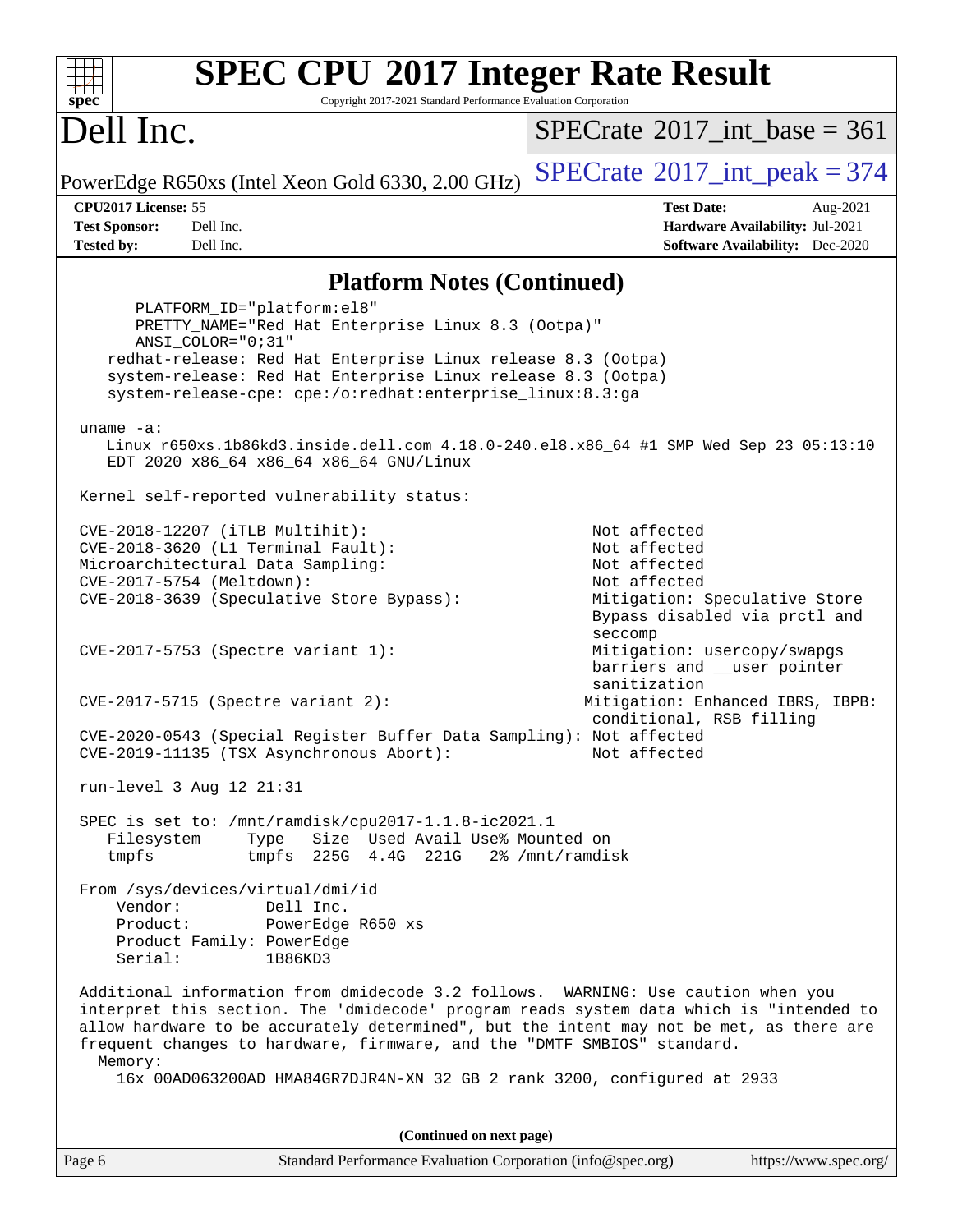| <b>SPEC CPU®2017 Integer Rate Result</b><br>Copyright 2017-2021 Standard Performance Evaluation Corporation<br>spec <sup>®</sup>                                                                                                                                                                                                                              |                                                                                                                                |  |  |  |  |
|---------------------------------------------------------------------------------------------------------------------------------------------------------------------------------------------------------------------------------------------------------------------------------------------------------------------------------------------------------------|--------------------------------------------------------------------------------------------------------------------------------|--|--|--|--|
| Dell Inc.                                                                                                                                                                                                                                                                                                                                                     | $SPECrate^{\circledast}2017$ int base = 361                                                                                    |  |  |  |  |
| PowerEdge R650xs (Intel Xeon Gold 6330, 2.00 GHz)                                                                                                                                                                                                                                                                                                             | $SPECTate$ <sup>®</sup> 2017_int_peak = 374                                                                                    |  |  |  |  |
| CPU2017 License: 55                                                                                                                                                                                                                                                                                                                                           | <b>Test Date:</b><br>Aug-2021                                                                                                  |  |  |  |  |
| Dell Inc.<br><b>Test Sponsor:</b><br><b>Tested by:</b><br>Dell Inc.                                                                                                                                                                                                                                                                                           | Hardware Availability: Jul-2021<br><b>Software Availability:</b> Dec-2020                                                      |  |  |  |  |
|                                                                                                                                                                                                                                                                                                                                                               |                                                                                                                                |  |  |  |  |
| <b>Platform Notes (Continued)</b>                                                                                                                                                                                                                                                                                                                             |                                                                                                                                |  |  |  |  |
| PLATFORM_ID="platform:el8"<br>PRETTY_NAME="Red Hat Enterprise Linux 8.3 (Ootpa)"<br>ANSI COLOR="0;31"                                                                                                                                                                                                                                                         |                                                                                                                                |  |  |  |  |
| redhat-release: Red Hat Enterprise Linux release 8.3 (Ootpa)<br>system-release: Red Hat Enterprise Linux release 8.3 (Ootpa)<br>system-release-cpe: cpe:/o:redhat:enterprise_linux:8.3:ga                                                                                                                                                                     |                                                                                                                                |  |  |  |  |
|                                                                                                                                                                                                                                                                                                                                                               |                                                                                                                                |  |  |  |  |
| $uname -a$ :<br>Linux r650xs.1b86kd3.inside.dell.com 4.18.0-240.el8.x86_64 #1 SMP Wed Sep 23 05:13:10<br>EDT 2020 x86_64 x86_64 x86_64 GNU/Linux                                                                                                                                                                                                              |                                                                                                                                |  |  |  |  |
| Kernel self-reported vulnerability status:                                                                                                                                                                                                                                                                                                                    |                                                                                                                                |  |  |  |  |
| CVE-2018-12207 (iTLB Multihit):<br>CVE-2018-3620 (L1 Terminal Fault):<br>Microarchitectural Data Sampling:<br>CVE-2017-5754 (Meltdown):<br>CVE-2018-3639 (Speculative Store Bypass):                                                                                                                                                                          | Not affected<br>Not affected<br>Not affected<br>Not affected<br>Mitigation: Speculative Store<br>Bypass disabled via prctl and |  |  |  |  |
| CVE-2017-5753 (Spectre variant 1):                                                                                                                                                                                                                                                                                                                            | seccomp<br>Mitigation: usercopy/swapgs<br>barriers and __user pointer<br>sanitization                                          |  |  |  |  |
| $CVE-2017-5715$ (Spectre variant 2):                                                                                                                                                                                                                                                                                                                          | Mitigation: Enhanced IBRS, IBPB:<br>conditional, RSB filling                                                                   |  |  |  |  |
| CVE-2020-0543 (Special Register Buffer Data Sampling): Not affected<br>CVE-2019-11135 (TSX Asynchronous Abort):<br>Not affected                                                                                                                                                                                                                               |                                                                                                                                |  |  |  |  |
| run-level 3 Aug 12 21:31                                                                                                                                                                                                                                                                                                                                      |                                                                                                                                |  |  |  |  |
| SPEC is set to: /mnt/ramdisk/cpu2017-1.1.8-ic2021.1<br>Size Used Avail Use% Mounted on<br>Filesystem<br>Type<br>225G 4.4G 221G<br>tmpfs<br>2% /mnt/ramdisk<br>tmpfs                                                                                                                                                                                           |                                                                                                                                |  |  |  |  |
| From /sys/devices/virtual/dmi/id<br>Vendor:<br>Dell Inc.<br>Product:<br>PowerEdge R650 xs<br>Product Family: PowerEdge                                                                                                                                                                                                                                        |                                                                                                                                |  |  |  |  |
| Serial:<br>1B86KD3                                                                                                                                                                                                                                                                                                                                            |                                                                                                                                |  |  |  |  |
| Additional information from dmidecode 3.2 follows. WARNING: Use caution when you<br>interpret this section. The 'dmidecode' program reads system data which is "intended to<br>allow hardware to be accurately determined", but the intent may not be met, as there are<br>frequent changes to hardware, firmware, and the "DMTF SMBIOS" standard.<br>Memory: |                                                                                                                                |  |  |  |  |
| 16x 00AD063200AD HMA84GR7DJR4N-XN 32 GB 2 rank 3200, configured at 2933                                                                                                                                                                                                                                                                                       |                                                                                                                                |  |  |  |  |
| (Continued on next page)                                                                                                                                                                                                                                                                                                                                      |                                                                                                                                |  |  |  |  |
| Page 6<br>Standard Performance Evaluation Corporation (info@spec.org)                                                                                                                                                                                                                                                                                         | https://www.spec.org/                                                                                                          |  |  |  |  |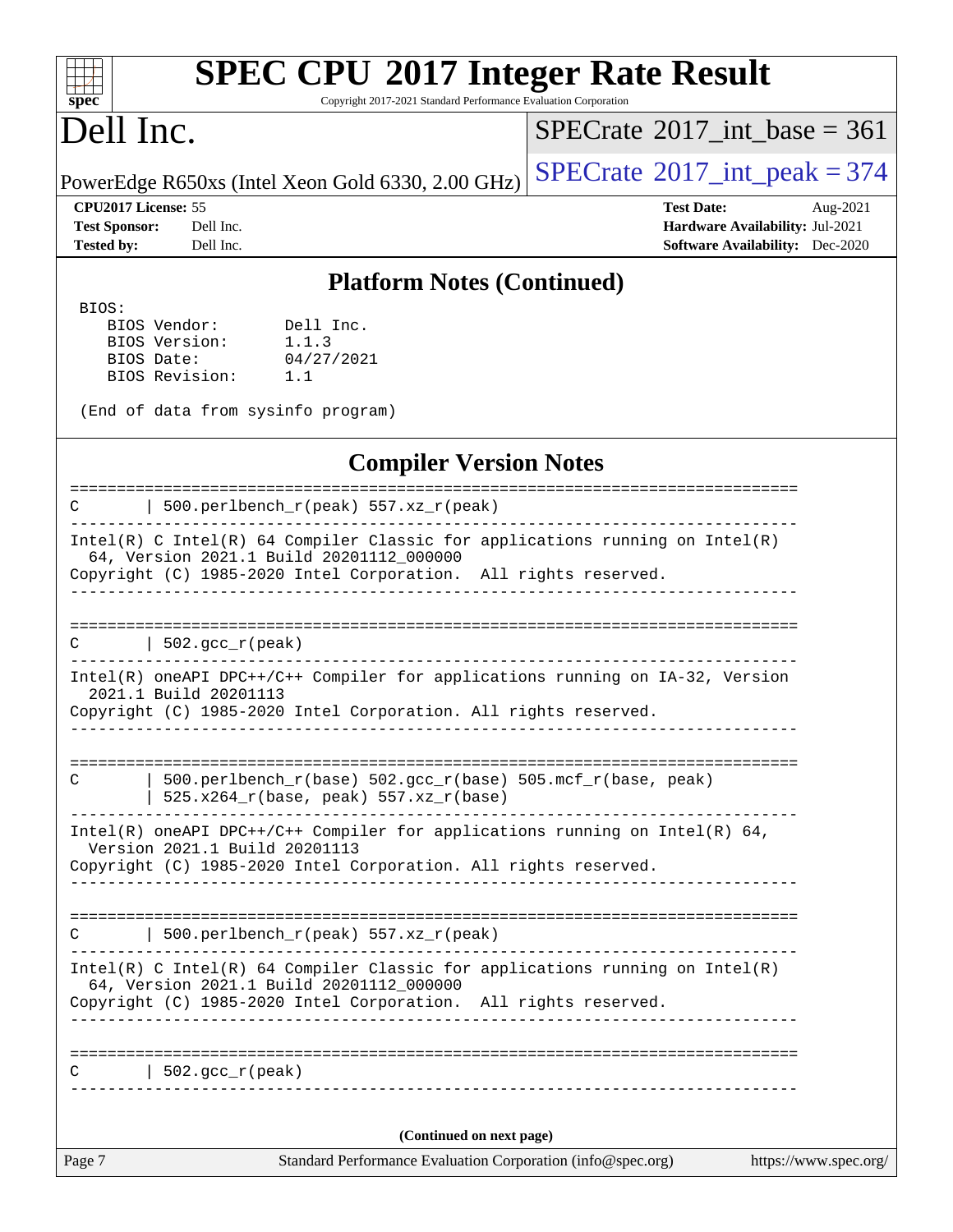#### $\pm$ **[spec](http://www.spec.org/)**

# **[SPEC CPU](http://www.spec.org/auto/cpu2017/Docs/result-fields.html#SPECCPU2017IntegerRateResult)[2017 Integer Rate Result](http://www.spec.org/auto/cpu2017/Docs/result-fields.html#SPECCPU2017IntegerRateResult)**

Copyright 2017-2021 Standard Performance Evaluation Corporation

# Dell Inc.

 $SPECTate$ <sup>®</sup>[2017\\_int\\_base =](http://www.spec.org/auto/cpu2017/Docs/result-fields.html#SPECrate2017intbase) 361

PowerEdge R650xs (Intel Xeon Gold 6330, 2.00 GHz)  $\left|$  [SPECrate](http://www.spec.org/auto/cpu2017/Docs/result-fields.html#SPECrate2017intpeak)<sup>®</sup>[2017\\_int\\_peak = 3](http://www.spec.org/auto/cpu2017/Docs/result-fields.html#SPECrate2017intpeak)74

**[Test Sponsor:](http://www.spec.org/auto/cpu2017/Docs/result-fields.html#TestSponsor)** Dell Inc. **[Hardware Availability:](http://www.spec.org/auto/cpu2017/Docs/result-fields.html#HardwareAvailability)** Jul-2021 **[Tested by:](http://www.spec.org/auto/cpu2017/Docs/result-fields.html#Testedby)** Dell Inc. **[Software Availability:](http://www.spec.org/auto/cpu2017/Docs/result-fields.html#SoftwareAvailability)** Dec-2020

**[CPU2017 License:](http://www.spec.org/auto/cpu2017/Docs/result-fields.html#CPU2017License)** 55 **[Test Date:](http://www.spec.org/auto/cpu2017/Docs/result-fields.html#TestDate)** Aug-2021

**[Platform Notes \(Continued\)](http://www.spec.org/auto/cpu2017/Docs/result-fields.html#PlatformNotes)**

BIOS:

 BIOS Vendor: Dell Inc. BIOS Version: 1.1.3 BIOS Date: 04/27/2021 BIOS Revision: 1.1

(End of data from sysinfo program)

### **[Compiler Version Notes](http://www.spec.org/auto/cpu2017/Docs/result-fields.html#CompilerVersionNotes)**

============================================================================== C | 500.perlbench\_r(peak) 557.xz\_r(peak) ------------------------------------------------------------------------------ Intel(R) C Intel(R) 64 Compiler Classic for applications running on Intel(R) 64, Version 2021.1 Build 20201112\_000000 Copyright (C) 1985-2020 Intel Corporation. All rights reserved. ------------------------------------------------------------------------------ ==============================================================================  $C \qquad \qquad \vert \; 502.\text{gcc\_r}(\text{peak})$ ------------------------------------------------------------------------------ Intel(R) oneAPI DPC++/C++ Compiler for applications running on IA-32, Version

 2021.1 Build 20201113 Copyright (C) 1985-2020 Intel Corporation. All rights reserved. ------------------------------------------------------------------------------

============================================================================== C | 500.perlbench\_r(base) 502.gcc\_r(base) 505.mcf\_r(base, peak) | 525.x264\_r(base, peak) 557.xz\_r(base)

------------------------------------------------------------------------------ Intel(R) oneAPI DPC++/C++ Compiler for applications running on Intel(R) 64, Version 2021.1 Build 20201113 Copyright (C) 1985-2020 Intel Corporation. All rights reserved.

------------------------------------------------------------------------------

============================================================================== C | 500.perlbench  $r(\text{peak})$  557.xz  $r(\text{peak})$ 

------------------------------------------------------------------------------ Intel(R) C Intel(R) 64 Compiler Classic for applications running on Intel(R) 64, Version 2021.1 Build 20201112\_000000

Copyright (C) 1985-2020 Intel Corporation. All rights reserved. ------------------------------------------------------------------------------

==============================================================================  $C \qquad | \quad 502.\text{gcc\_r}(\text{peak})$ 

**(Continued on next page)**

------------------------------------------------------------------------------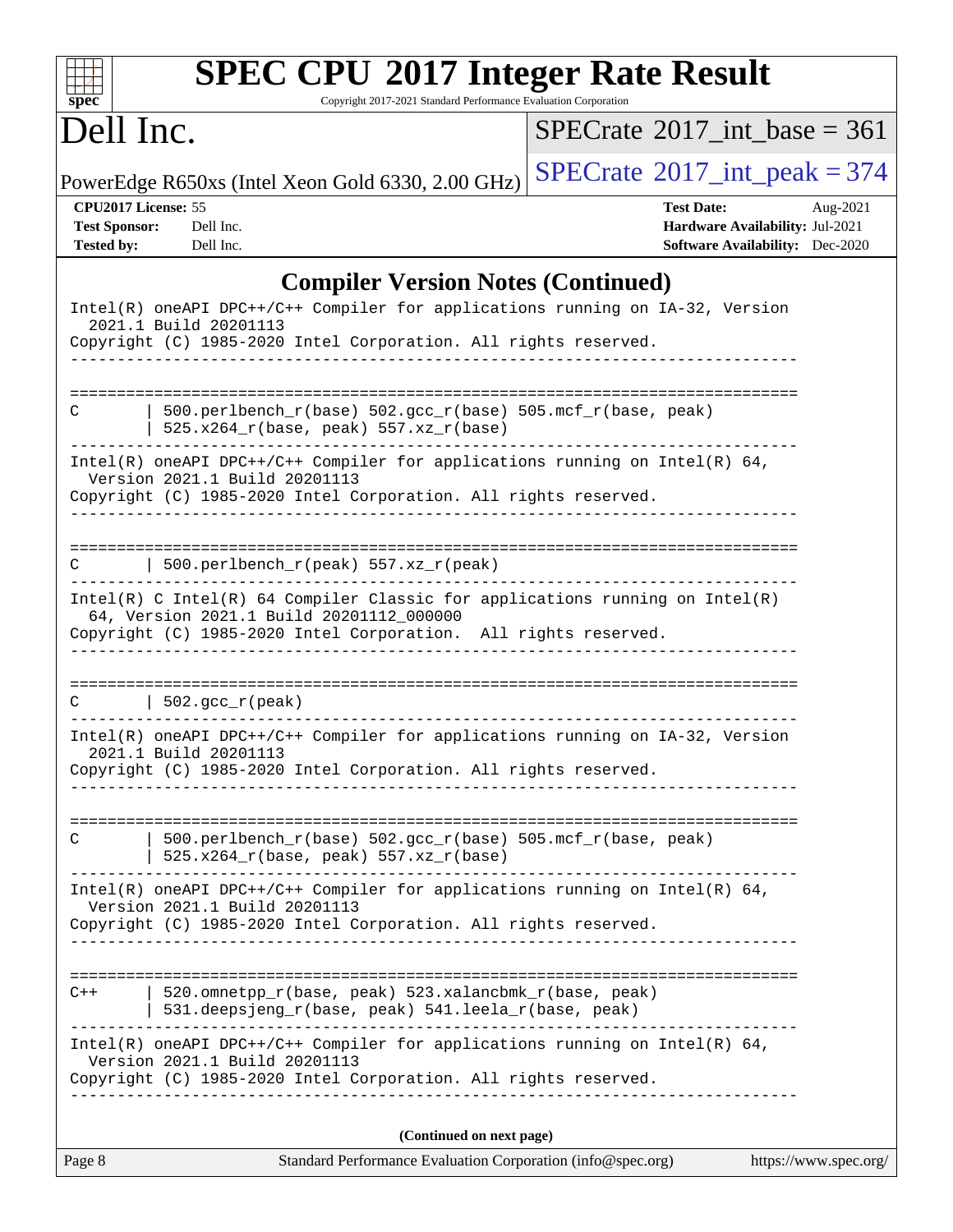| $spec^*$                                                         | <b>SPEC CPU®2017 Integer Rate Result</b><br>Copyright 2017-2021 Standard Performance Evaluation Corporation                                                                                   |                                                                                                |                       |
|------------------------------------------------------------------|-----------------------------------------------------------------------------------------------------------------------------------------------------------------------------------------------|------------------------------------------------------------------------------------------------|-----------------------|
| Dell Inc.                                                        |                                                                                                                                                                                               | $SPECrate^{\circledast}2017$ int base = 361                                                    |                       |
|                                                                  | PowerEdge R650xs (Intel Xeon Gold 6330, 2.00 GHz)                                                                                                                                             | $SPECrate$ <sup>®</sup> 2017_int_peak = 374                                                    |                       |
| CPU2017 License: 55<br><b>Test Sponsor:</b><br><b>Tested by:</b> | Dell Inc.<br>Dell Inc.                                                                                                                                                                        | <b>Test Date:</b><br>Hardware Availability: Jul-2021<br><b>Software Availability:</b> Dec-2020 | Aug-2021              |
|                                                                  | <b>Compiler Version Notes (Continued)</b>                                                                                                                                                     |                                                                                                |                       |
|                                                                  | Intel(R) oneAPI DPC++/C++ Compiler for applications running on IA-32, Version<br>2021.1 Build 20201113<br>Copyright (C) 1985-2020 Intel Corporation. All rights reserved.                     |                                                                                                |                       |
| C                                                                | 500.perlbench_r(base) 502.gcc_r(base) 505.mcf_r(base, peak)<br>525.x264_r(base, peak) 557.xz_r(base)                                                                                          |                                                                                                |                       |
|                                                                  | Intel(R) oneAPI DPC++/C++ Compiler for applications running on Intel(R) $64$ ,<br>Version 2021.1 Build 20201113<br>Copyright (C) 1985-2020 Intel Corporation. All rights reserved.            |                                                                                                |                       |
|                                                                  | $500.perlbench_r(peak) 557. xz_r(peak)$                                                                                                                                                       |                                                                                                |                       |
|                                                                  | $Intel(R)$ C Intel(R) 64 Compiler Classic for applications running on Intel(R)<br>64, Version 2021.1 Build 20201112_000000<br>Copyright (C) 1985-2020 Intel Corporation. All rights reserved. |                                                                                                |                       |
| C                                                                | $  502.\text{gcc_r(peak)}$                                                                                                                                                                    |                                                                                                |                       |
|                                                                  | Intel(R) oneAPI DPC++/C++ Compiler for applications running on IA-32, Version<br>2021.1 Build 20201113<br>Copyright (C) 1985-2020 Intel Corporation. All rights reserved.                     |                                                                                                |                       |
|                                                                  |                                                                                                                                                                                               |                                                                                                |                       |
| С                                                                | 500.perlbench_r(base) 502.gcc_r(base) 505.mcf_r(base, peak)<br>$525.x264_r(base, peak) 557.xz_r(base)$                                                                                        |                                                                                                |                       |
|                                                                  | Intel(R) oneAPI DPC++/C++ Compiler for applications running on Intel(R) $64$ ,<br>Version 2021.1 Build 20201113<br>Copyright (C) 1985-2020 Intel Corporation. All rights reserved.            |                                                                                                |                       |
| $C++$                                                            | 520.omnetpp_r(base, peak) 523.xalancbmk_r(base, peak)                                                                                                                                         |                                                                                                |                       |
|                                                                  | 531.deepsjeng_r(base, peak) 541.leela_r(base, peak)                                                                                                                                           |                                                                                                |                       |
|                                                                  | Intel(R) oneAPI DPC++/C++ Compiler for applications running on Intel(R) 64,<br>Version 2021.1 Build 20201113<br>Copyright (C) 1985-2020 Intel Corporation. All rights reserved.               |                                                                                                |                       |
|                                                                  | (Continued on next page)                                                                                                                                                                      |                                                                                                |                       |
| Page 8                                                           | Standard Performance Evaluation Corporation (info@spec.org)                                                                                                                                   |                                                                                                | https://www.spec.org/ |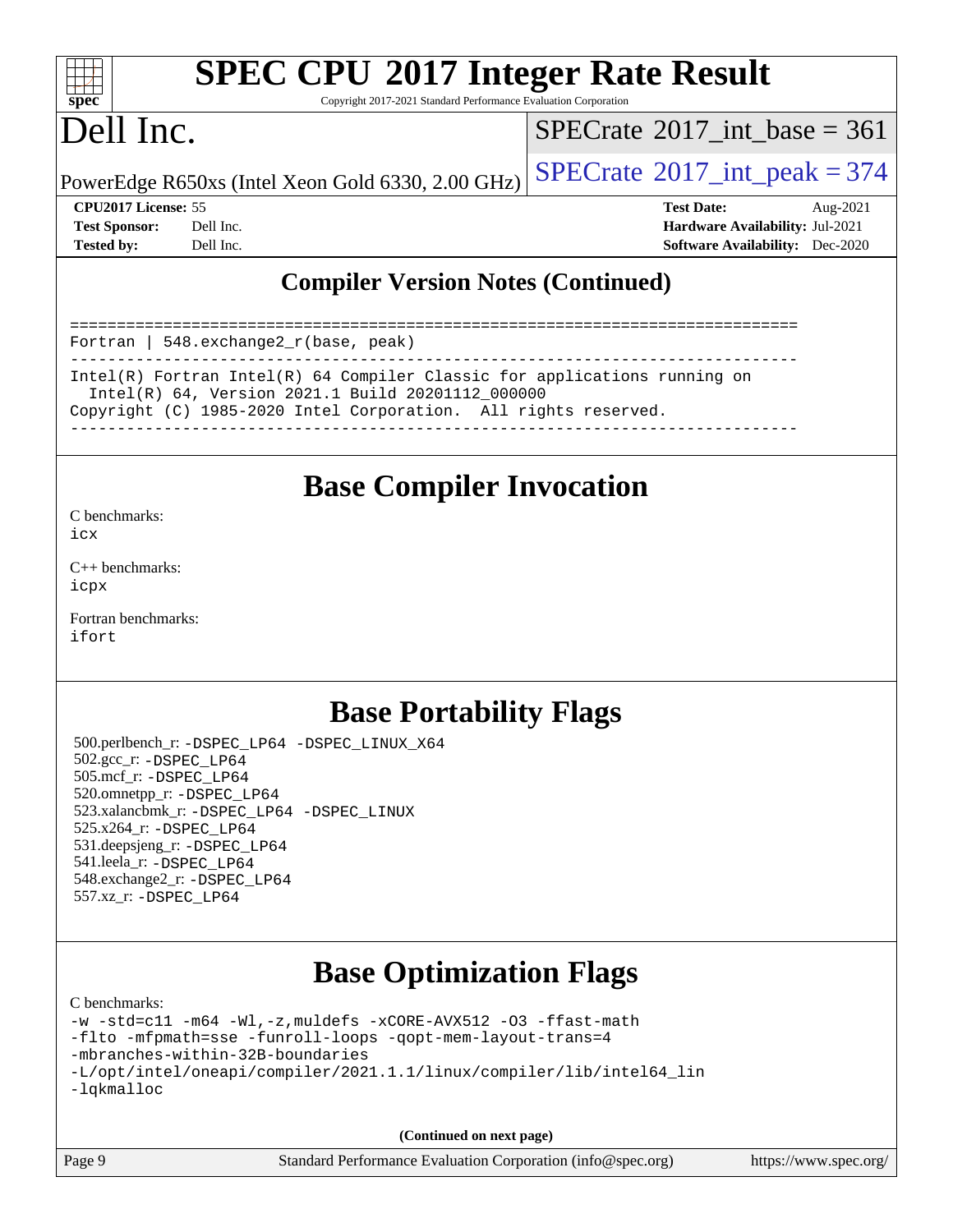

# **[SPEC CPU](http://www.spec.org/auto/cpu2017/Docs/result-fields.html#SPECCPU2017IntegerRateResult)[2017 Integer Rate Result](http://www.spec.org/auto/cpu2017/Docs/result-fields.html#SPECCPU2017IntegerRateResult)**

Copyright 2017-2021 Standard Performance Evaluation Corporation

# Dell Inc.

 $SPECTate$ <sup>®</sup>[2017\\_int\\_base =](http://www.spec.org/auto/cpu2017/Docs/result-fields.html#SPECrate2017intbase) 361

PowerEdge R650xs (Intel Xeon Gold 6330, 2.00 GHz)  $\left|$  [SPECrate](http://www.spec.org/auto/cpu2017/Docs/result-fields.html#SPECrate2017intpeak)<sup>®</sup>[2017\\_int\\_peak = 3](http://www.spec.org/auto/cpu2017/Docs/result-fields.html#SPECrate2017intpeak)74

**[CPU2017 License:](http://www.spec.org/auto/cpu2017/Docs/result-fields.html#CPU2017License)** 55 **[Test Date:](http://www.spec.org/auto/cpu2017/Docs/result-fields.html#TestDate)** Aug-2021 **[Test Sponsor:](http://www.spec.org/auto/cpu2017/Docs/result-fields.html#TestSponsor)** Dell Inc. **[Hardware Availability:](http://www.spec.org/auto/cpu2017/Docs/result-fields.html#HardwareAvailability)** Jul-2021 **[Tested by:](http://www.spec.org/auto/cpu2017/Docs/result-fields.html#Testedby)** Dell Inc. **[Software Availability:](http://www.spec.org/auto/cpu2017/Docs/result-fields.html#SoftwareAvailability)** Dec-2020

### **[Compiler Version Notes \(Continued\)](http://www.spec.org/auto/cpu2017/Docs/result-fields.html#CompilerVersionNotes)**

============================================================================== Fortran | 548.exchange2\_r(base, peak) ------------------------------------------------------------------------------ Intel(R) Fortran Intel(R) 64 Compiler Classic for applications running on Intel(R) 64, Version 2021.1 Build 20201112\_000000 Copyright (C) 1985-2020 Intel Corporation. All rights reserved.

------------------------------------------------------------------------------

## **[Base Compiler Invocation](http://www.spec.org/auto/cpu2017/Docs/result-fields.html#BaseCompilerInvocation)**

[C benchmarks](http://www.spec.org/auto/cpu2017/Docs/result-fields.html#Cbenchmarks): [icx](http://www.spec.org/cpu2017/results/res2021q3/cpu2017-20210827-28963.flags.html#user_CCbase_intel_icx_fe2d28d19ae2a5db7c42fe0f2a2aed77cb715edd4aeb23434404a8be6683fe239869bb6ca8154ca98265c2e3b9226a719a0efe2953a4a7018c379b7010ccf087)

[C++ benchmarks:](http://www.spec.org/auto/cpu2017/Docs/result-fields.html#CXXbenchmarks) [icpx](http://www.spec.org/cpu2017/results/res2021q3/cpu2017-20210827-28963.flags.html#user_CXXbase_intel_icpx_1e918ed14c436bf4b9b7c8bcdd51d4539fc71b3df010bd1e9f8732d9c34c2b2914e48204a846820f3c0ebb4095dea797a5c30b458ac0b6dffac65d78f781f5ca)

[Fortran benchmarks](http://www.spec.org/auto/cpu2017/Docs/result-fields.html#Fortranbenchmarks): [ifort](http://www.spec.org/cpu2017/results/res2021q3/cpu2017-20210827-28963.flags.html#user_FCbase_intel_ifort_8111460550e3ca792625aed983ce982f94888b8b503583aa7ba2b8303487b4d8a21a13e7191a45c5fd58ff318f48f9492884d4413fa793fd88dd292cad7027ca)

## **[Base Portability Flags](http://www.spec.org/auto/cpu2017/Docs/result-fields.html#BasePortabilityFlags)**

 500.perlbench\_r: [-DSPEC\\_LP64](http://www.spec.org/cpu2017/results/res2021q3/cpu2017-20210827-28963.flags.html#b500.perlbench_r_basePORTABILITY_DSPEC_LP64) [-DSPEC\\_LINUX\\_X64](http://www.spec.org/cpu2017/results/res2021q3/cpu2017-20210827-28963.flags.html#b500.perlbench_r_baseCPORTABILITY_DSPEC_LINUX_X64) 502.gcc\_r: [-DSPEC\\_LP64](http://www.spec.org/cpu2017/results/res2021q3/cpu2017-20210827-28963.flags.html#suite_basePORTABILITY502_gcc_r_DSPEC_LP64) 505.mcf\_r: [-DSPEC\\_LP64](http://www.spec.org/cpu2017/results/res2021q3/cpu2017-20210827-28963.flags.html#suite_basePORTABILITY505_mcf_r_DSPEC_LP64) 520.omnetpp\_r: [-DSPEC\\_LP64](http://www.spec.org/cpu2017/results/res2021q3/cpu2017-20210827-28963.flags.html#suite_basePORTABILITY520_omnetpp_r_DSPEC_LP64) 523.xalancbmk\_r: [-DSPEC\\_LP64](http://www.spec.org/cpu2017/results/res2021q3/cpu2017-20210827-28963.flags.html#suite_basePORTABILITY523_xalancbmk_r_DSPEC_LP64) [-DSPEC\\_LINUX](http://www.spec.org/cpu2017/results/res2021q3/cpu2017-20210827-28963.flags.html#b523.xalancbmk_r_baseCXXPORTABILITY_DSPEC_LINUX) 525.x264\_r: [-DSPEC\\_LP64](http://www.spec.org/cpu2017/results/res2021q3/cpu2017-20210827-28963.flags.html#suite_basePORTABILITY525_x264_r_DSPEC_LP64) 531.deepsjeng\_r: [-DSPEC\\_LP64](http://www.spec.org/cpu2017/results/res2021q3/cpu2017-20210827-28963.flags.html#suite_basePORTABILITY531_deepsjeng_r_DSPEC_LP64) 541.leela\_r: [-DSPEC\\_LP64](http://www.spec.org/cpu2017/results/res2021q3/cpu2017-20210827-28963.flags.html#suite_basePORTABILITY541_leela_r_DSPEC_LP64) 548.exchange2\_r: [-DSPEC\\_LP64](http://www.spec.org/cpu2017/results/res2021q3/cpu2017-20210827-28963.flags.html#suite_basePORTABILITY548_exchange2_r_DSPEC_LP64) 557.xz\_r: [-DSPEC\\_LP64](http://www.spec.org/cpu2017/results/res2021q3/cpu2017-20210827-28963.flags.html#suite_basePORTABILITY557_xz_r_DSPEC_LP64)

## **[Base Optimization Flags](http://www.spec.org/auto/cpu2017/Docs/result-fields.html#BaseOptimizationFlags)**

[C benchmarks](http://www.spec.org/auto/cpu2017/Docs/result-fields.html#Cbenchmarks):

```
-w -std=c11 -m64 -Wl,-z,muldefs -xCORE-AVX512 -O3 -ffast-math
-flto -mfpmath=sse -funroll-loops -qopt-mem-layout-trans=4
-mbranches-within-32B-boundaries
-L/opt/intel/oneapi/compiler/2021.1.1/linux/compiler/lib/intel64_lin
-lqkmalloc
```
**(Continued on next page)**

| Page 9 | Standard Performance Evaluation Corporation (info@spec.org) | https://www.spec.org/ |
|--------|-------------------------------------------------------------|-----------------------|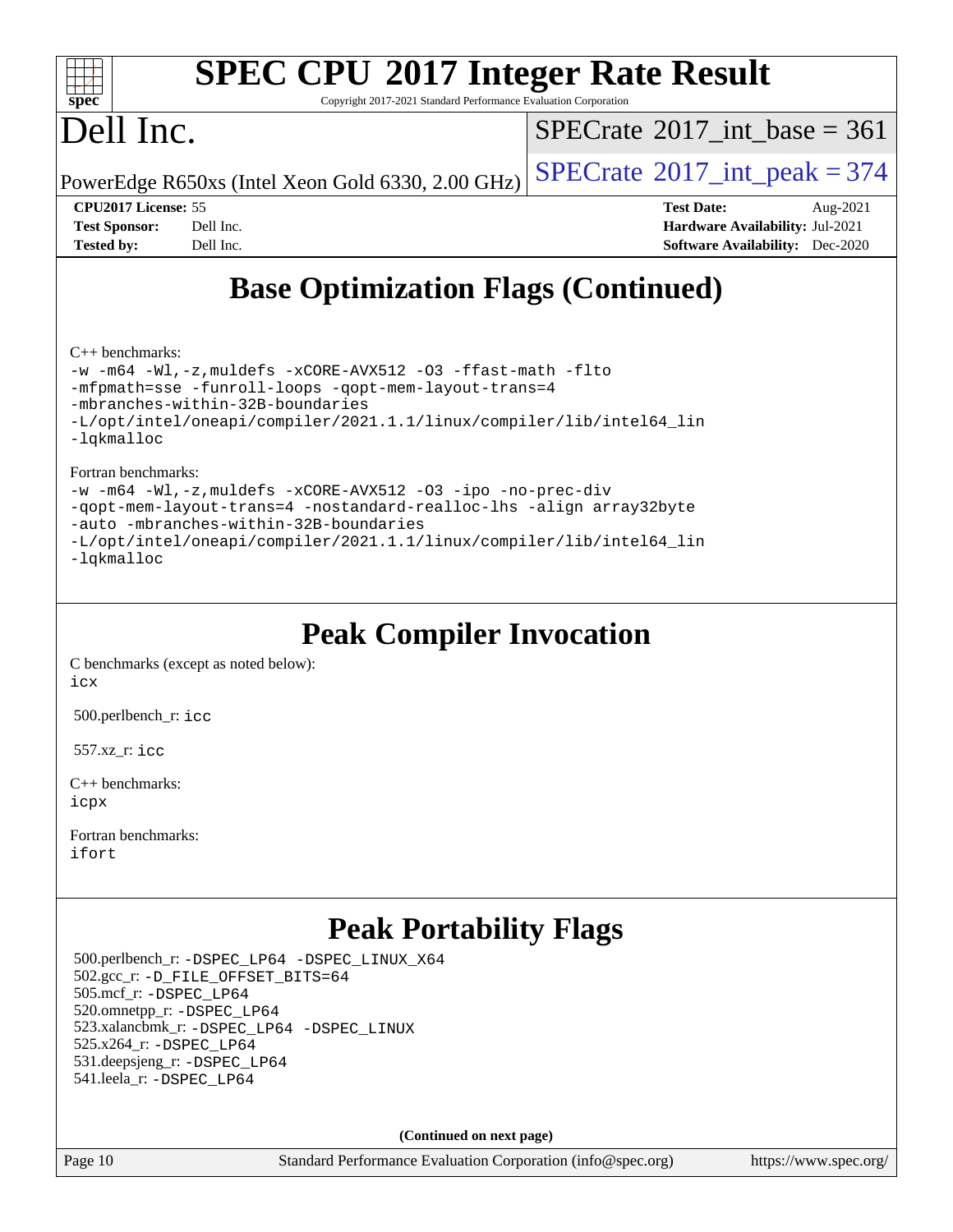

# **[SPEC CPU](http://www.spec.org/auto/cpu2017/Docs/result-fields.html#SPECCPU2017IntegerRateResult)[2017 Integer Rate Result](http://www.spec.org/auto/cpu2017/Docs/result-fields.html#SPECCPU2017IntegerRateResult)**

Copyright 2017-2021 Standard Performance Evaluation Corporation

# Dell Inc.

 $SPECTate$ <sup>®</sup>[2017\\_int\\_base =](http://www.spec.org/auto/cpu2017/Docs/result-fields.html#SPECrate2017intbase) 361

PowerEdge R650xs (Intel Xeon Gold 6330, 2.00 GHz)  $\left|$  [SPECrate](http://www.spec.org/auto/cpu2017/Docs/result-fields.html#SPECrate2017intpeak)<sup>®</sup>[2017\\_int\\_peak = 3](http://www.spec.org/auto/cpu2017/Docs/result-fields.html#SPECrate2017intpeak)74

**[CPU2017 License:](http://www.spec.org/auto/cpu2017/Docs/result-fields.html#CPU2017License)** 55 **[Test Date:](http://www.spec.org/auto/cpu2017/Docs/result-fields.html#TestDate)** Aug-2021 **[Test Sponsor:](http://www.spec.org/auto/cpu2017/Docs/result-fields.html#TestSponsor)** Dell Inc. **[Hardware Availability:](http://www.spec.org/auto/cpu2017/Docs/result-fields.html#HardwareAvailability)** Jul-2021 **[Tested by:](http://www.spec.org/auto/cpu2017/Docs/result-fields.html#Testedby)** Dell Inc. **[Software Availability:](http://www.spec.org/auto/cpu2017/Docs/result-fields.html#SoftwareAvailability)** Dec-2020

# **[Base Optimization Flags \(Continued\)](http://www.spec.org/auto/cpu2017/Docs/result-fields.html#BaseOptimizationFlags)**

[C++ benchmarks:](http://www.spec.org/auto/cpu2017/Docs/result-fields.html#CXXbenchmarks)

[-w](http://www.spec.org/cpu2017/results/res2021q3/cpu2017-20210827-28963.flags.html#user_CXXbase_supress_warning_66fb2c4e5c1dd10f38bdd29623979399e5ae75ae6e5453792d82ef66afed381df4a8602f92cac8d2ea0fffa7b93b4b1ccb9ecad4af01c9b2fe338b2082ae3859) [-m64](http://www.spec.org/cpu2017/results/res2021q3/cpu2017-20210827-28963.flags.html#user_CXXbase_m64-icc) [-Wl,-z,muldefs](http://www.spec.org/cpu2017/results/res2021q3/cpu2017-20210827-28963.flags.html#user_CXXbase_link_force_multiple1_b4cbdb97b34bdee9ceefcfe54f4c8ea74255f0b02a4b23e853cdb0e18eb4525ac79b5a88067c842dd0ee6996c24547a27a4b99331201badda8798ef8a743f577) [-xCORE-AVX512](http://www.spec.org/cpu2017/results/res2021q3/cpu2017-20210827-28963.flags.html#user_CXXbase_f-xCORE-AVX512) [-O3](http://www.spec.org/cpu2017/results/res2021q3/cpu2017-20210827-28963.flags.html#user_CXXbase_f-O3) [-ffast-math](http://www.spec.org/cpu2017/results/res2021q3/cpu2017-20210827-28963.flags.html#user_CXXbase_f-ffast-math) [-flto](http://www.spec.org/cpu2017/results/res2021q3/cpu2017-20210827-28963.flags.html#user_CXXbase_f-flto) [-mfpmath=sse](http://www.spec.org/cpu2017/results/res2021q3/cpu2017-20210827-28963.flags.html#user_CXXbase_f-mfpmath_70eb8fac26bde974f8ab713bc9086c5621c0b8d2f6c86f38af0bd7062540daf19db5f3a066d8c6684be05d84c9b6322eb3b5be6619d967835195b93d6c02afa1) [-funroll-loops](http://www.spec.org/cpu2017/results/res2021q3/cpu2017-20210827-28963.flags.html#user_CXXbase_f-funroll-loops) [-qopt-mem-layout-trans=4](http://www.spec.org/cpu2017/results/res2021q3/cpu2017-20210827-28963.flags.html#user_CXXbase_f-qopt-mem-layout-trans_fa39e755916c150a61361b7846f310bcdf6f04e385ef281cadf3647acec3f0ae266d1a1d22d972a7087a248fd4e6ca390a3634700869573d231a252c784941a8) [-mbranches-within-32B-boundaries](http://www.spec.org/cpu2017/results/res2021q3/cpu2017-20210827-28963.flags.html#user_CXXbase_f-mbranches-within-32B-boundaries) [-L/opt/intel/oneapi/compiler/2021.1.1/linux/compiler/lib/intel64\\_lin](http://www.spec.org/cpu2017/results/res2021q3/cpu2017-20210827-28963.flags.html#user_CXXbase_linkpath_f3ac96bc44eb3356c66274e76f12ce7989555e6431aa425d8bf37251b5a0a8e4f20d385a762420f3e0cdf627bb737484454017ddfa67f55a42ce17058c8be12d) [-lqkmalloc](http://www.spec.org/cpu2017/results/res2021q3/cpu2017-20210827-28963.flags.html#user_CXXbase_qkmalloc_link_lib_79a818439969f771c6bc311cfd333c00fc099dad35c030f5aab9dda831713d2015205805422f83de8875488a2991c0a156aaa600e1f9138f8fc37004abc96dc5)

[Fortran benchmarks](http://www.spec.org/auto/cpu2017/Docs/result-fields.html#Fortranbenchmarks):

[-w](http://www.spec.org/cpu2017/results/res2021q3/cpu2017-20210827-28963.flags.html#user_FCbase_supress_warning_66fb2c4e5c1dd10f38bdd29623979399e5ae75ae6e5453792d82ef66afed381df4a8602f92cac8d2ea0fffa7b93b4b1ccb9ecad4af01c9b2fe338b2082ae3859) [-m64](http://www.spec.org/cpu2017/results/res2021q3/cpu2017-20210827-28963.flags.html#user_FCbase_m64-icc) [-Wl,-z,muldefs](http://www.spec.org/cpu2017/results/res2021q3/cpu2017-20210827-28963.flags.html#user_FCbase_link_force_multiple1_b4cbdb97b34bdee9ceefcfe54f4c8ea74255f0b02a4b23e853cdb0e18eb4525ac79b5a88067c842dd0ee6996c24547a27a4b99331201badda8798ef8a743f577) [-xCORE-AVX512](http://www.spec.org/cpu2017/results/res2021q3/cpu2017-20210827-28963.flags.html#user_FCbase_f-xCORE-AVX512) [-O3](http://www.spec.org/cpu2017/results/res2021q3/cpu2017-20210827-28963.flags.html#user_FCbase_f-O3) [-ipo](http://www.spec.org/cpu2017/results/res2021q3/cpu2017-20210827-28963.flags.html#user_FCbase_f-ipo) [-no-prec-div](http://www.spec.org/cpu2017/results/res2021q3/cpu2017-20210827-28963.flags.html#user_FCbase_f-no-prec-div) [-qopt-mem-layout-trans=4](http://www.spec.org/cpu2017/results/res2021q3/cpu2017-20210827-28963.flags.html#user_FCbase_f-qopt-mem-layout-trans_fa39e755916c150a61361b7846f310bcdf6f04e385ef281cadf3647acec3f0ae266d1a1d22d972a7087a248fd4e6ca390a3634700869573d231a252c784941a8) [-nostandard-realloc-lhs](http://www.spec.org/cpu2017/results/res2021q3/cpu2017-20210827-28963.flags.html#user_FCbase_f_2003_std_realloc_82b4557e90729c0f113870c07e44d33d6f5a304b4f63d4c15d2d0f1fab99f5daaed73bdb9275d9ae411527f28b936061aa8b9c8f2d63842963b95c9dd6426b8a) [-align array32byte](http://www.spec.org/cpu2017/results/res2021q3/cpu2017-20210827-28963.flags.html#user_FCbase_align_array32byte_b982fe038af199962ba9a80c053b8342c548c85b40b8e86eb3cc33dee0d7986a4af373ac2d51c3f7cf710a18d62fdce2948f201cd044323541f22fc0fffc51b6) [-auto](http://www.spec.org/cpu2017/results/res2021q3/cpu2017-20210827-28963.flags.html#user_FCbase_f-auto) [-mbranches-within-32B-boundaries](http://www.spec.org/cpu2017/results/res2021q3/cpu2017-20210827-28963.flags.html#user_FCbase_f-mbranches-within-32B-boundaries) [-L/opt/intel/oneapi/compiler/2021.1.1/linux/compiler/lib/intel64\\_lin](http://www.spec.org/cpu2017/results/res2021q3/cpu2017-20210827-28963.flags.html#user_FCbase_linkpath_f3ac96bc44eb3356c66274e76f12ce7989555e6431aa425d8bf37251b5a0a8e4f20d385a762420f3e0cdf627bb737484454017ddfa67f55a42ce17058c8be12d) [-lqkmalloc](http://www.spec.org/cpu2017/results/res2021q3/cpu2017-20210827-28963.flags.html#user_FCbase_qkmalloc_link_lib_79a818439969f771c6bc311cfd333c00fc099dad35c030f5aab9dda831713d2015205805422f83de8875488a2991c0a156aaa600e1f9138f8fc37004abc96dc5)

# **[Peak Compiler Invocation](http://www.spec.org/auto/cpu2017/Docs/result-fields.html#PeakCompilerInvocation)**

[C benchmarks \(except as noted below\)](http://www.spec.org/auto/cpu2017/Docs/result-fields.html#Cbenchmarksexceptasnotedbelow): [icx](http://www.spec.org/cpu2017/results/res2021q3/cpu2017-20210827-28963.flags.html#user_CCpeak_intel_icx_fe2d28d19ae2a5db7c42fe0f2a2aed77cb715edd4aeb23434404a8be6683fe239869bb6ca8154ca98265c2e3b9226a719a0efe2953a4a7018c379b7010ccf087)

500.perlbench\_r: [icc](http://www.spec.org/cpu2017/results/res2021q3/cpu2017-20210827-28963.flags.html#user_peakCCLD500_perlbench_r_intel_icc_66fc1ee009f7361af1fbd72ca7dcefbb700085f36577c54f309893dd4ec40d12360134090235512931783d35fd58c0460139e722d5067c5574d8eaf2b3e37e92)

557.xz\_r: [icc](http://www.spec.org/cpu2017/results/res2021q3/cpu2017-20210827-28963.flags.html#user_peakCCLD557_xz_r_intel_icc_66fc1ee009f7361af1fbd72ca7dcefbb700085f36577c54f309893dd4ec40d12360134090235512931783d35fd58c0460139e722d5067c5574d8eaf2b3e37e92)

[C++ benchmarks:](http://www.spec.org/auto/cpu2017/Docs/result-fields.html#CXXbenchmarks) [icpx](http://www.spec.org/cpu2017/results/res2021q3/cpu2017-20210827-28963.flags.html#user_CXXpeak_intel_icpx_1e918ed14c436bf4b9b7c8bcdd51d4539fc71b3df010bd1e9f8732d9c34c2b2914e48204a846820f3c0ebb4095dea797a5c30b458ac0b6dffac65d78f781f5ca)

[Fortran benchmarks](http://www.spec.org/auto/cpu2017/Docs/result-fields.html#Fortranbenchmarks): [ifort](http://www.spec.org/cpu2017/results/res2021q3/cpu2017-20210827-28963.flags.html#user_FCpeak_intel_ifort_8111460550e3ca792625aed983ce982f94888b8b503583aa7ba2b8303487b4d8a21a13e7191a45c5fd58ff318f48f9492884d4413fa793fd88dd292cad7027ca)

## **[Peak Portability Flags](http://www.spec.org/auto/cpu2017/Docs/result-fields.html#PeakPortabilityFlags)**

 500.perlbench\_r: [-DSPEC\\_LP64](http://www.spec.org/cpu2017/results/res2021q3/cpu2017-20210827-28963.flags.html#b500.perlbench_r_peakPORTABILITY_DSPEC_LP64) [-DSPEC\\_LINUX\\_X64](http://www.spec.org/cpu2017/results/res2021q3/cpu2017-20210827-28963.flags.html#b500.perlbench_r_peakCPORTABILITY_DSPEC_LINUX_X64) 502.gcc\_r: [-D\\_FILE\\_OFFSET\\_BITS=64](http://www.spec.org/cpu2017/results/res2021q3/cpu2017-20210827-28963.flags.html#user_peakPORTABILITY502_gcc_r_file_offset_bits_64_5ae949a99b284ddf4e95728d47cb0843d81b2eb0e18bdfe74bbf0f61d0b064f4bda2f10ea5eb90e1dcab0e84dbc592acfc5018bc955c18609f94ddb8d550002c) 505.mcf\_r: [-DSPEC\\_LP64](http://www.spec.org/cpu2017/results/res2021q3/cpu2017-20210827-28963.flags.html#suite_peakPORTABILITY505_mcf_r_DSPEC_LP64) 520.omnetpp\_r: [-DSPEC\\_LP64](http://www.spec.org/cpu2017/results/res2021q3/cpu2017-20210827-28963.flags.html#suite_peakPORTABILITY520_omnetpp_r_DSPEC_LP64) 523.xalancbmk\_r: [-DSPEC\\_LP64](http://www.spec.org/cpu2017/results/res2021q3/cpu2017-20210827-28963.flags.html#suite_peakPORTABILITY523_xalancbmk_r_DSPEC_LP64) [-DSPEC\\_LINUX](http://www.spec.org/cpu2017/results/res2021q3/cpu2017-20210827-28963.flags.html#b523.xalancbmk_r_peakCXXPORTABILITY_DSPEC_LINUX) 525.x264\_r: [-DSPEC\\_LP64](http://www.spec.org/cpu2017/results/res2021q3/cpu2017-20210827-28963.flags.html#suite_peakPORTABILITY525_x264_r_DSPEC_LP64) 531.deepsjeng\_r: [-DSPEC\\_LP64](http://www.spec.org/cpu2017/results/res2021q3/cpu2017-20210827-28963.flags.html#suite_peakPORTABILITY531_deepsjeng_r_DSPEC_LP64) 541.leela\_r: [-DSPEC\\_LP64](http://www.spec.org/cpu2017/results/res2021q3/cpu2017-20210827-28963.flags.html#suite_peakPORTABILITY541_leela_r_DSPEC_LP64)

**(Continued on next page)**

Page 10 Standard Performance Evaluation Corporation [\(info@spec.org\)](mailto:info@spec.org) <https://www.spec.org/>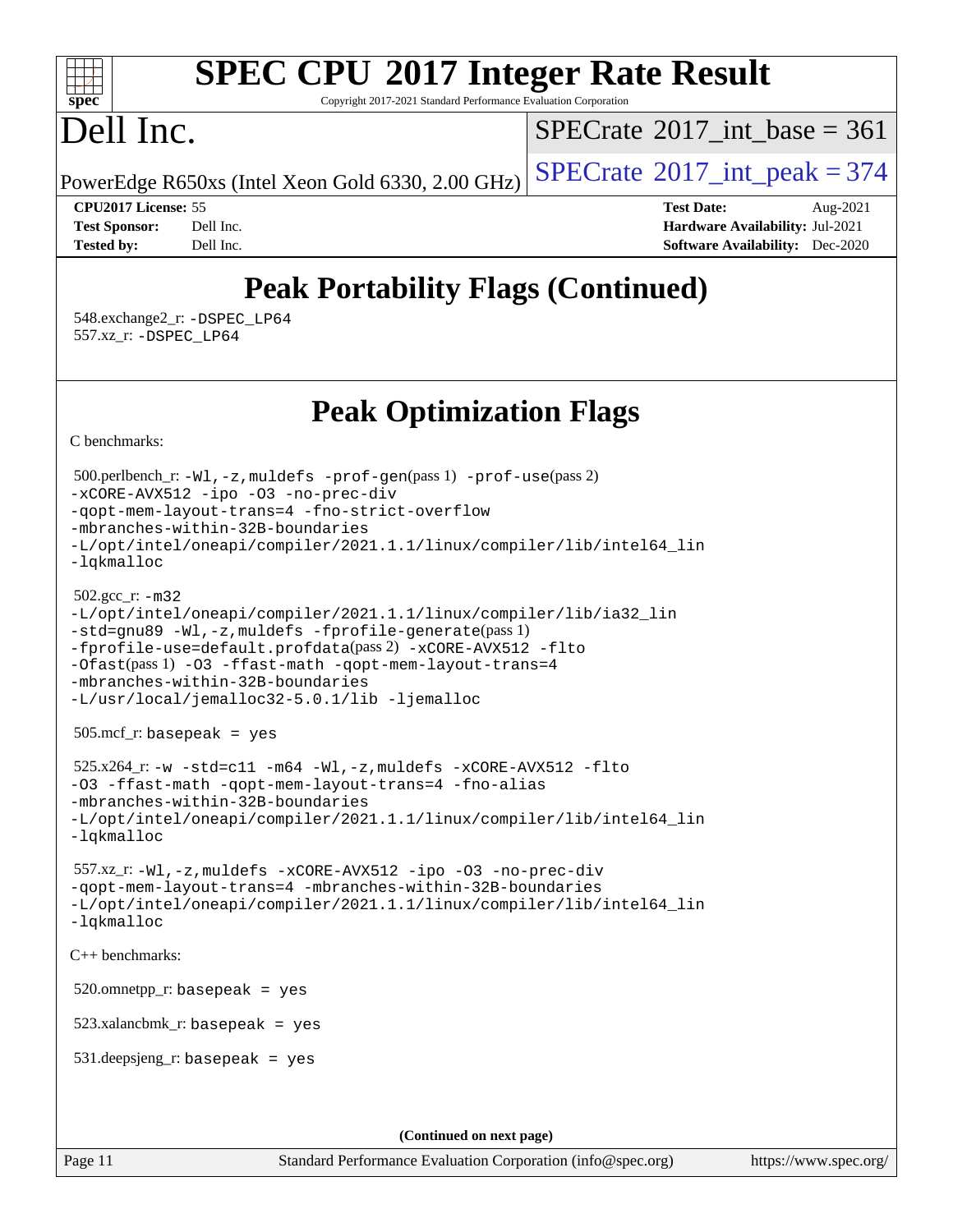#### $+\ +$ **[spec](http://www.spec.org/)**

# **[SPEC CPU](http://www.spec.org/auto/cpu2017/Docs/result-fields.html#SPECCPU2017IntegerRateResult)[2017 Integer Rate Result](http://www.spec.org/auto/cpu2017/Docs/result-fields.html#SPECCPU2017IntegerRateResult)**

Copyright 2017-2021 Standard Performance Evaluation Corporation

# Dell Inc.

 $SPECrate$ <sup>®</sup>[2017\\_int\\_base =](http://www.spec.org/auto/cpu2017/Docs/result-fields.html#SPECrate2017intbase) 361

PowerEdge R650xs (Intel Xeon Gold 6330, 2.00 GHz)  $\left|$  [SPECrate](http://www.spec.org/auto/cpu2017/Docs/result-fields.html#SPECrate2017intpeak)<sup>®</sup>[2017\\_int\\_peak = 3](http://www.spec.org/auto/cpu2017/Docs/result-fields.html#SPECrate2017intpeak)74

**[CPU2017 License:](http://www.spec.org/auto/cpu2017/Docs/result-fields.html#CPU2017License)** 55 **[Test Date:](http://www.spec.org/auto/cpu2017/Docs/result-fields.html#TestDate)** Aug-2021 **[Test Sponsor:](http://www.spec.org/auto/cpu2017/Docs/result-fields.html#TestSponsor)** Dell Inc. **[Hardware Availability:](http://www.spec.org/auto/cpu2017/Docs/result-fields.html#HardwareAvailability)** Jul-2021 **[Tested by:](http://www.spec.org/auto/cpu2017/Docs/result-fields.html#Testedby)** Dell Inc. **[Software Availability:](http://www.spec.org/auto/cpu2017/Docs/result-fields.html#SoftwareAvailability)** Dec-2020

# **[Peak Portability Flags \(Continued\)](http://www.spec.org/auto/cpu2017/Docs/result-fields.html#PeakPortabilityFlags)**

 548.exchange2\_r: [-DSPEC\\_LP64](http://www.spec.org/cpu2017/results/res2021q3/cpu2017-20210827-28963.flags.html#suite_peakPORTABILITY548_exchange2_r_DSPEC_LP64) 557.xz\_r: [-DSPEC\\_LP64](http://www.spec.org/cpu2017/results/res2021q3/cpu2017-20210827-28963.flags.html#suite_peakPORTABILITY557_xz_r_DSPEC_LP64)

**[Peak Optimization Flags](http://www.spec.org/auto/cpu2017/Docs/result-fields.html#PeakOptimizationFlags)**

[C benchmarks](http://www.spec.org/auto/cpu2017/Docs/result-fields.html#Cbenchmarks):

```
(info@spec.org)https://www.spec.org/
  500.perlbench_r: -Wl,-z,muldefs -prof-gen(pass 1) -prof-use(pass 2)
-xCORE-AVX512 -ipo -O3 -no-prec-div
-qopt-mem-layout-trans=4 -fno-strict-overflow
-mbranches-within-32B-boundaries
-L/opt/intel/oneapi/compiler/2021.1.1/linux/compiler/lib/intel64_lin
-lqkmalloc
  502.gcc_r: -m32
-L/opt/intel/oneapi/compiler/2021.1.1/linux/compiler/lib/ia32_lin
-std=gnu89 -Wl,-z,muldefs -fprofile-generate(pass 1)
-fprofile-use=default.profdata(pass 2) -xCORE-AVX512 -flto
-Ofast(pass 1) -O3 -ffast-math -qopt-mem-layout-trans=4
-mbranches-within-32B-boundaries
-L/usr/local/jemalloc32-5.0.1/lib -ljemalloc
  505.mcf_r: basepeak = yes
 525.x264_r: -w -std=cl1 -m64 -W1, -z, muldefs -xCORE-AVX512 -f1to-O3 -ffast-math -qopt-mem-layout-trans=4 -fno-alias
-mbranches-within-32B-boundaries
-L/opt/intel/oneapi/compiler/2021.1.1/linux/compiler/lib/intel64_lin
-lqkmalloc
  557.xz_r: -Wl,-z,muldefs -xCORE-AVX512 -ipo -O3 -no-prec-div
-qopt-mem-layout-trans=4 -mbranches-within-32B-boundaries
-L/opt/intel/oneapi/compiler/2021.1.1/linux/compiler/lib/intel64_lin
-lqkmalloc
C++ benchmarks: 
 520.omnetpp_r: basepeak = yes
  523.xalancbmk_r: basepeak = yes
  531.deepsjeng_r: basepeak = yes
                                    (Continued on next page)
```